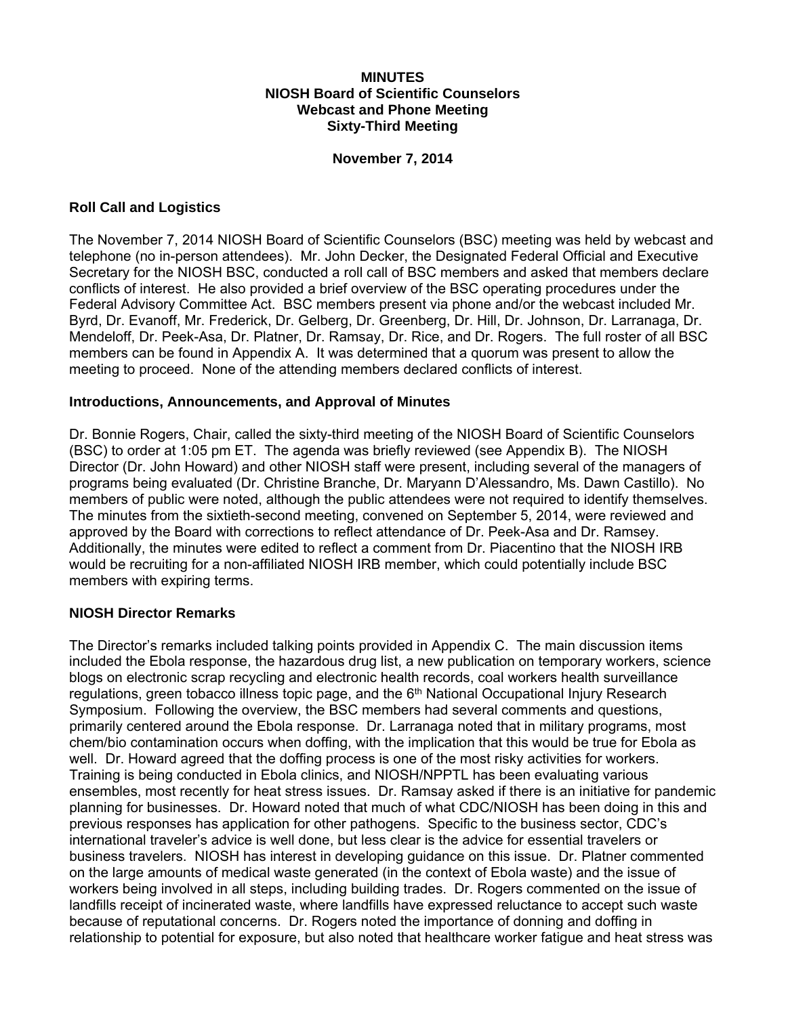### **MINUTES NIOSH Board of Scientific Counselors Webcast and Phone Meeting Sixty-Third Meeting**

### **November 7, 2014**

### **Roll Call and Logistics**

The November 7, 2014 NIOSH Board of Scientific Counselors (BSC) meeting was held by webcast and telephone (no in-person attendees). Mr. John Decker, the Designated Federal Official and Executive Secretary for the NIOSH BSC, conducted a roll call of BSC members and asked that members declare conflicts of interest. He also provided a brief overview of the BSC operating procedures under the Federal Advisory Committee Act. BSC members present via phone and/or the webcast included Mr. Byrd, Dr. Evanoff, Mr. Frederick, Dr. Gelberg, Dr. Greenberg, Dr. Hill, Dr. Johnson, Dr. Larranaga, Dr. Mendeloff, Dr. Peek-Asa, Dr. Platner, Dr. Ramsay, Dr. Rice, and Dr. Rogers. The full roster of all BSC members can be found in Appendix A. It was determined that a quorum was present to allow the meeting to proceed. None of the attending members declared conflicts of interest.

#### **Introductions, Announcements, and Approval of Minutes**

Dr. Bonnie Rogers, Chair, called the sixty-third meeting of the NIOSH Board of Scientific Counselors (BSC) to order at 1:05 pm ET. The agenda was briefly reviewed (see Appendix B). The NIOSH Director (Dr. John Howard) and other NIOSH staff were present, including several of the managers of programs being evaluated (Dr. Christine Branche, Dr. Maryann D'Alessandro, Ms. Dawn Castillo). No members of public were noted, although the public attendees were not required to identify themselves. The minutes from the sixtieth-second meeting, convened on September 5, 2014, were reviewed and approved by the Board with corrections to reflect attendance of Dr. Peek-Asa and Dr. Ramsey. Additionally, the minutes were edited to reflect a comment from Dr. Piacentino that the NIOSH IRB would be recruiting for a non-affiliated NIOSH IRB member, which could potentially include BSC members with expiring terms.

#### **NIOSH Director Remarks**

The Director's remarks included talking points provided in Appendix C. The main discussion items included the Ebola response, the hazardous drug list, a new publication on temporary workers, science blogs on electronic scrap recycling and electronic health records, coal workers health surveillance regulations, green tobacco illness topic page, and the 6<sup>th</sup> National Occupational Injury Research Symposium. Following the overview, the BSC members had several comments and questions, primarily centered around the Ebola response. Dr. Larranaga noted that in military programs, most chem/bio contamination occurs when doffing, with the implication that this would be true for Ebola as well. Dr. Howard agreed that the doffing process is one of the most risky activities for workers. Training is being conducted in Ebola clinics, and NIOSH/NPPTL has been evaluating various ensembles, most recently for heat stress issues. Dr. Ramsay asked if there is an initiative for pandemic planning for businesses. Dr. Howard noted that much of what CDC/NIOSH has been doing in this and previous responses has application for other pathogens. Specific to the business sector, CDC's international traveler's advice is well done, but less clear is the advice for essential travelers or business travelers. NIOSH has interest in developing guidance on this issue. Dr. Platner commented on the large amounts of medical waste generated (in the context of Ebola waste) and the issue of workers being involved in all steps, including building trades. Dr. Rogers commented on the issue of landfills receipt of incinerated waste, where landfills have expressed reluctance to accept such waste because of reputational concerns. Dr. Rogers noted the importance of donning and doffing in relationship to potential for exposure, but also noted that healthcare worker fatigue and heat stress was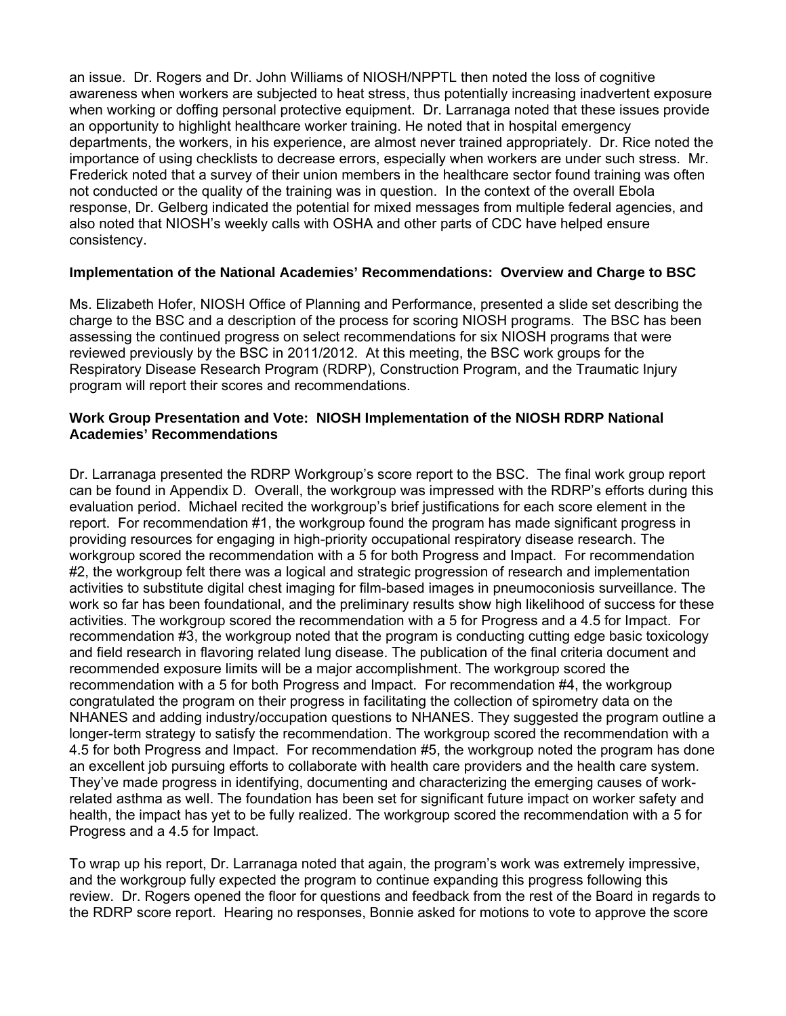an issue. Dr. Rogers and Dr. John Williams of NIOSH/NPPTL then noted the loss of cognitive awareness when workers are subjected to heat stress, thus potentially increasing inadvertent exposure when working or doffing personal protective equipment. Dr. Larranaga noted that these issues provide an opportunity to highlight healthcare worker training. He noted that in hospital emergency departments, the workers, in his experience, are almost never trained appropriately. Dr. Rice noted the importance of using checklists to decrease errors, especially when workers are under such stress. Mr. Frederick noted that a survey of their union members in the healthcare sector found training was often not conducted or the quality of the training was in question. In the context of the overall Ebola response, Dr. Gelberg indicated the potential for mixed messages from multiple federal agencies, and also noted that NIOSH's weekly calls with OSHA and other parts of CDC have helped ensure consistency.

### **Implementation of the National Academies' Recommendations: Overview and Charge to BSC**

Ms. Elizabeth Hofer, NIOSH Office of Planning and Performance, presented a slide set describing the charge to the BSC and a description of the process for scoring NIOSH programs. The BSC has been assessing the continued progress on select recommendations for six NIOSH programs that were reviewed previously by the BSC in 2011/2012. At this meeting, the BSC work groups for the Respiratory Disease Research Program (RDRP), Construction Program, and the Traumatic Injury program will report their scores and recommendations.

### **Work Group Presentation and Vote: NIOSH Implementation of the NIOSH RDRP National Academies' Recommendations**

Dr. Larranaga presented the RDRP Workgroup's score report to the BSC. The final work group report can be found in Appendix D. Overall, the workgroup was impressed with the RDRP's efforts during this evaluation period. Michael recited the workgroup's brief justifications for each score element in the report. For recommendation #1, the workgroup found the program has made significant progress in providing resources for engaging in high-priority occupational respiratory disease research. The workgroup scored the recommendation with a 5 for both Progress and Impact. For recommendation #2, the workgroup felt there was a logical and strategic progression of research and implementation activities to substitute digital chest imaging for film-based images in pneumoconiosis surveillance. The work so far has been foundational, and the preliminary results show high likelihood of success for these activities. The workgroup scored the recommendation with a 5 for Progress and a 4.5 for Impact. For recommendation #3, the workgroup noted that the program is conducting cutting edge basic toxicology and field research in flavoring related lung disease. The publication of the final criteria document and recommended exposure limits will be a major accomplishment. The workgroup scored the recommendation with a 5 for both Progress and Impact. For recommendation #4, the workgroup congratulated the program on their progress in facilitating the collection of spirometry data on the NHANES and adding industry/occupation questions to NHANES. They suggested the program outline a longer-term strategy to satisfy the recommendation. The workgroup scored the recommendation with a 4.5 for both Progress and Impact. For recommendation #5, the workgroup noted the program has done an excellent job pursuing efforts to collaborate with health care providers and the health care system. They've made progress in identifying, documenting and characterizing the emerging causes of workrelated asthma as well. The foundation has been set for significant future impact on worker safety and health, the impact has yet to be fully realized. The workgroup scored the recommendation with a 5 for Progress and a 4.5 for Impact.

To wrap up his report, Dr. Larranaga noted that again, the program's work was extremely impressive, and the workgroup fully expected the program to continue expanding this progress following this review. Dr. Rogers opened the floor for questions and feedback from the rest of the Board in regards to the RDRP score report. Hearing no responses, Bonnie asked for motions to vote to approve the score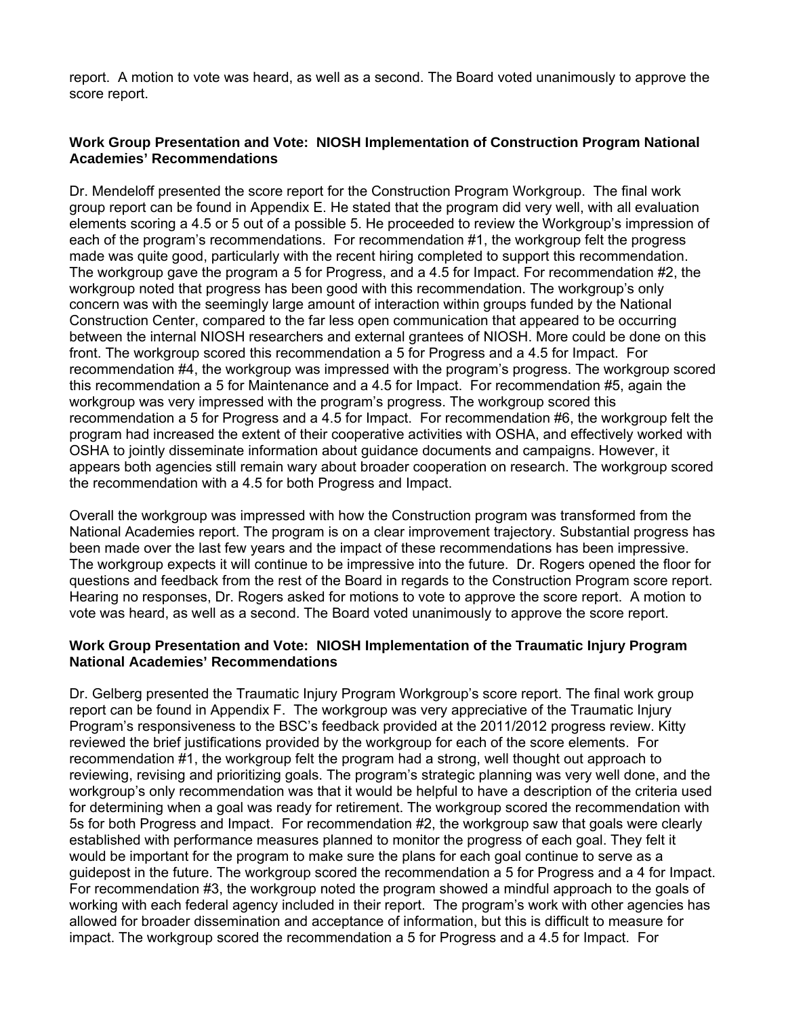report. A motion to vote was heard, as well as a second. The Board voted unanimously to approve the score report.

## **Work Group Presentation and Vote: NIOSH Implementation of Construction Program National Academies' Recommendations**

Dr. Mendeloff presented the score report for the Construction Program Workgroup. The final work group report can be found in Appendix E. He stated that the program did very well, with all evaluation elements scoring a 4.5 or 5 out of a possible 5. He proceeded to review the Workgroup's impression of each of the program's recommendations. For recommendation #1, the workgroup felt the progress made was quite good, particularly with the recent hiring completed to support this recommendation. The workgroup gave the program a 5 for Progress, and a 4.5 for Impact. For recommendation #2, the workgroup noted that progress has been good with this recommendation. The workgroup's only concern was with the seemingly large amount of interaction within groups funded by the National Construction Center, compared to the far less open communication that appeared to be occurring between the internal NIOSH researchers and external grantees of NIOSH. More could be done on this front. The workgroup scored this recommendation a 5 for Progress and a 4.5 for Impact. For recommendation #4, the workgroup was impressed with the program's progress. The workgroup scored this recommendation a 5 for Maintenance and a 4.5 for Impact. For recommendation #5, again the workgroup was very impressed with the program's progress. The workgroup scored this recommendation a 5 for Progress and a 4.5 for Impact. For recommendation #6, the workgroup felt the program had increased the extent of their cooperative activities with OSHA, and effectively worked with OSHA to jointly disseminate information about guidance documents and campaigns. However, it appears both agencies still remain wary about broader cooperation on research. The workgroup scored the recommendation with a 4.5 for both Progress and Impact.

Overall the workgroup was impressed with how the Construction program was transformed from the National Academies report. The program is on a clear improvement trajectory. Substantial progress has been made over the last few years and the impact of these recommendations has been impressive. The workgroup expects it will continue to be impressive into the future. Dr. Rogers opened the floor for questions and feedback from the rest of the Board in regards to the Construction Program score report. Hearing no responses, Dr. Rogers asked for motions to vote to approve the score report. A motion to vote was heard, as well as a second. The Board voted unanimously to approve the score report.

### **Work Group Presentation and Vote: NIOSH Implementation of the Traumatic Injury Program National Academies' Recommendations**

Dr. Gelberg presented the Traumatic Injury Program Workgroup's score report. The final work group report can be found in Appendix F. The workgroup was very appreciative of the Traumatic Injury Program's responsiveness to the BSC's feedback provided at the 2011/2012 progress review. Kitty reviewed the brief justifications provided by the workgroup for each of the score elements. For recommendation #1, the workgroup felt the program had a strong, well thought out approach to reviewing, revising and prioritizing goals. The program's strategic planning was very well done, and the workgroup's only recommendation was that it would be helpful to have a description of the criteria used for determining when a goal was ready for retirement. The workgroup scored the recommendation with 5s for both Progress and Impact. For recommendation #2, the workgroup saw that goals were clearly established with performance measures planned to monitor the progress of each goal. They felt it would be important for the program to make sure the plans for each goal continue to serve as a guidepost in the future. The workgroup scored the recommendation a 5 for Progress and a 4 for Impact. For recommendation #3, the workgroup noted the program showed a mindful approach to the goals of working with each federal agency included in their report. The program's work with other agencies has allowed for broader dissemination and acceptance of information, but this is difficult to measure for impact. The workgroup scored the recommendation a 5 for Progress and a 4.5 for Impact. For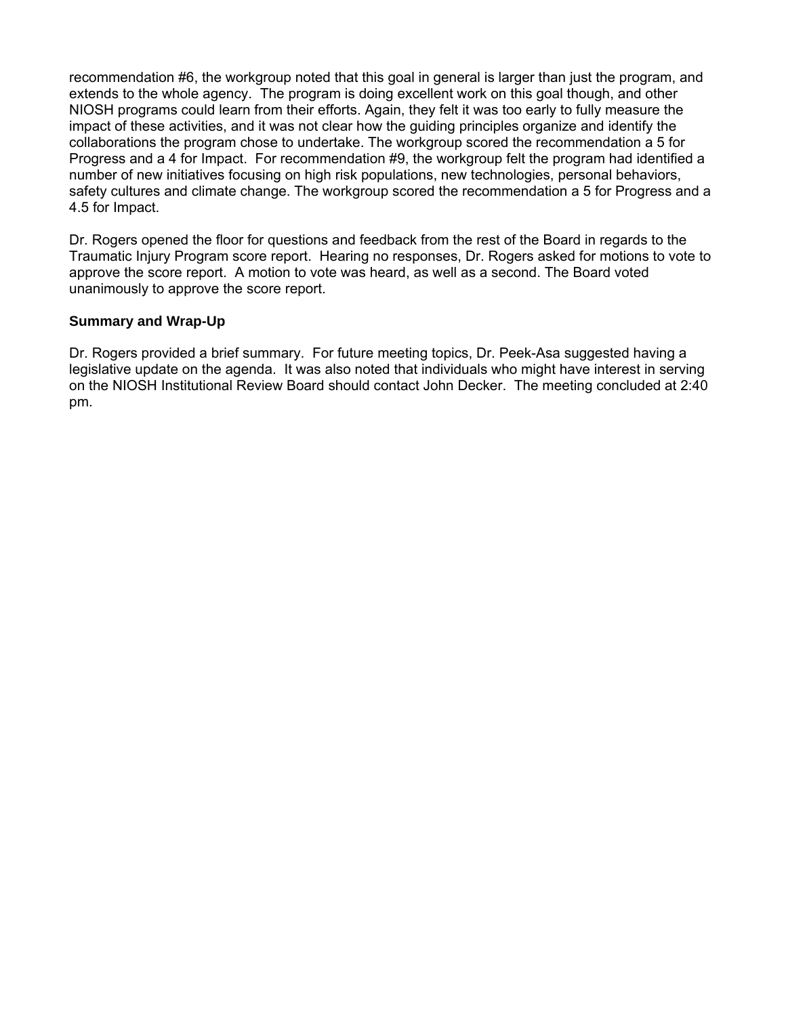recommendation #6, the workgroup noted that this goal in general is larger than just the program, and extends to the whole agency. The program is doing excellent work on this goal though, and other NIOSH programs could learn from their efforts. Again, they felt it was too early to fully measure the impact of these activities, and it was not clear how the guiding principles organize and identify the collaborations the program chose to undertake. The workgroup scored the recommendation a 5 for Progress and a 4 for Impact. For recommendation #9, the workgroup felt the program had identified a number of new initiatives focusing on high risk populations, new technologies, personal behaviors, safety cultures and climate change. The workgroup scored the recommendation a 5 for Progress and a 4.5 for Impact.

Dr. Rogers opened the floor for questions and feedback from the rest of the Board in regards to the Traumatic Injury Program score report. Hearing no responses, Dr. Rogers asked for motions to vote to approve the score report. A motion to vote was heard, as well as a second. The Board voted unanimously to approve the score report.

# **Summary and Wrap-Up**

Dr. Rogers provided a brief summary. For future meeting topics, Dr. Peek-Asa suggested having a legislative update on the agenda. It was also noted that individuals who might have interest in serving on the NIOSH Institutional Review Board should contact John Decker. The meeting concluded at 2:40 pm.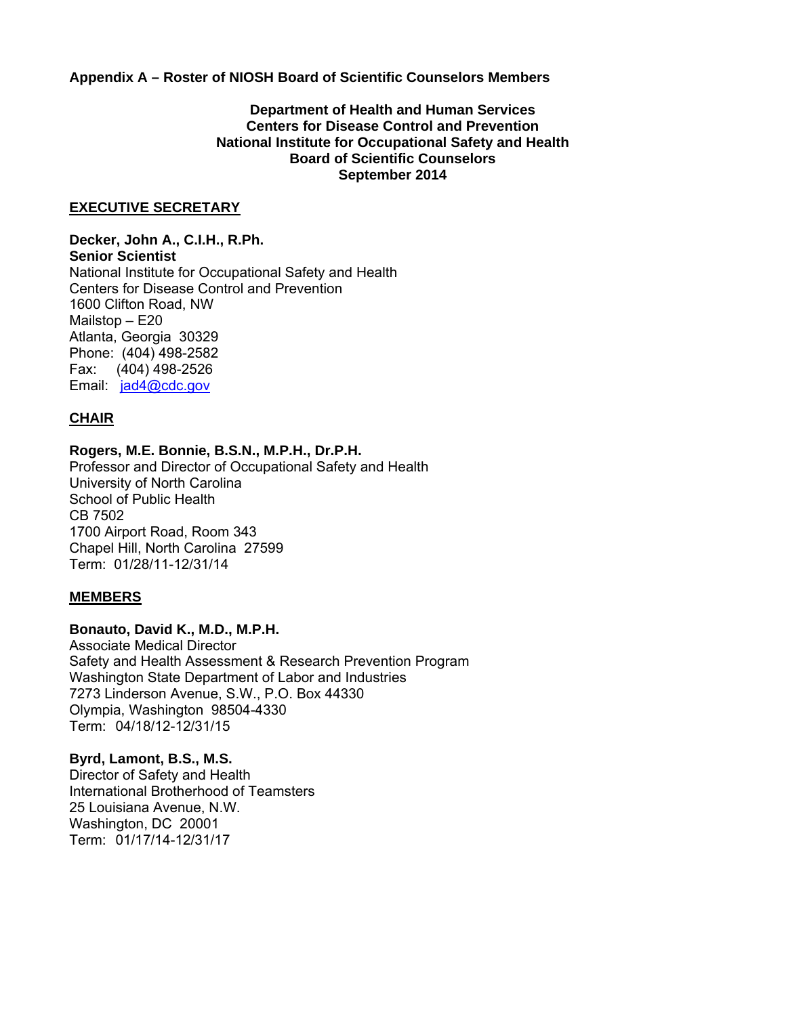**Appendix A – Roster of NIOSH Board of Scientific Counselors Members** 

### **Department of Health and Human Services Centers for Disease Control and Prevention National Institute for Occupational Safety and Health Board of Scientific Counselors September 2014**

#### **EXECUTIVE SECRETARY**

 Fax: (404) 498-2526 **Decker, John A., C.I.H., R.Ph. Senior Scientist**  National Institute for Occupational Safety and Health Centers for Disease Control and Prevention 1600 Clifton Road, NW Mailstop – E20 Atlanta, Georgia 30329 Phone: (404) 498-2582 Email: jad4@cdc.gov

## **CHAIR**

#### **Rogers, M.E. Bonnie, B.S.N., M.P.H., Dr.P.H.**

Professor and Director of Occupational Safety and Health University of North Carolina School of Public Health CB 7502 1700 Airport Road, Room 343 Chapel Hill, North Carolina 27599 Term: 01/28/11-12/31/14

#### **MEMBERS**

### **Bonauto, David K., M.D., M.P.H.**

Associate Medical Director Safety and Health Assessment & Research Prevention Program Washington State Department of Labor and Industries 7273 Linderson Avenue, S.W., P.O. Box 44330 Olympia, Washington 98504-4330 Term: 04/18/12-12/31/15

#### **Byrd, Lamont, B.S., M.S.**

Director of Safety and Health International Brotherhood of Teamsters 25 Louisiana Avenue, N.W. Washington, DC 20001 Term: 01/17/14-12/31/17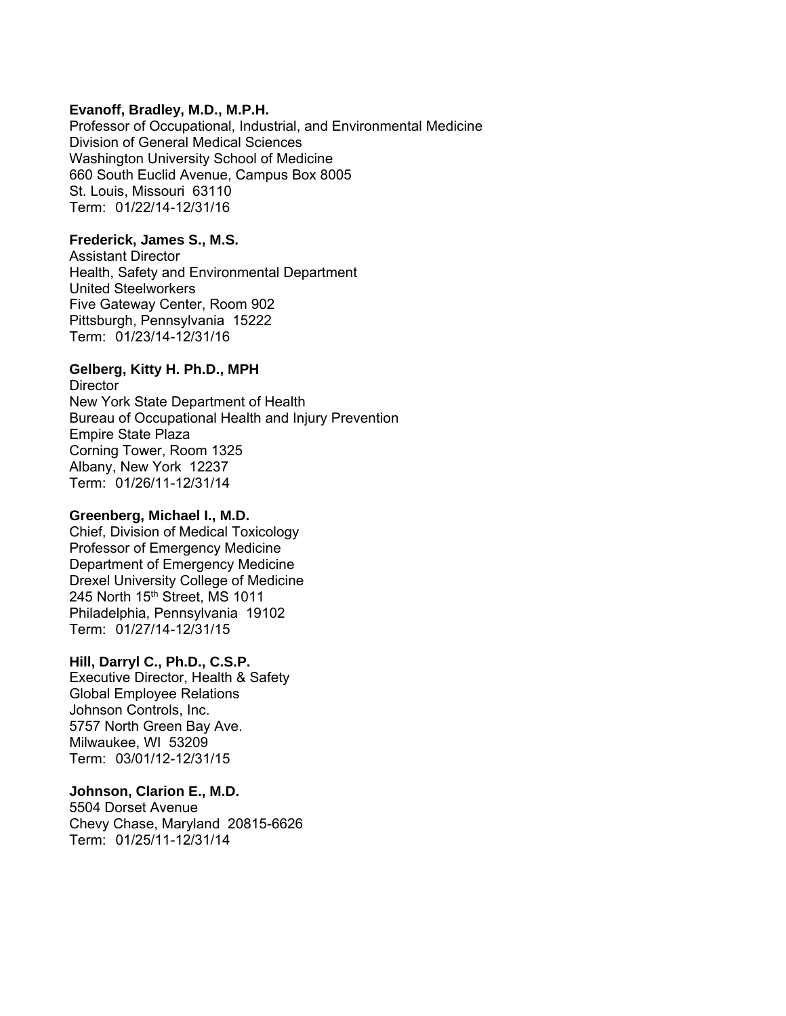### **Evanoff, Bradley, M.D., M.P.H.**

Professor of Occupational, Industrial, and Environmental Medicine Division of General Medical Sciences Washington University School of Medicine 660 South Euclid Avenue, Campus Box 8005 St. Louis, Missouri 63110 Term: 01/22/14-12/31/16

### **Frederick, James S., M.S.**

Assistant Director Health, Safety and Environmental Department United Steelworkers Five Gateway Center, Room 902 Pittsburgh, Pennsylvania 15222 Term: 01/23/14-12/31/16

### **Gelberg, Kitty H. Ph.D., MPH**

**Director** New York State Department of Health Bureau of Occupational Health and Injury Prevention Empire State Plaza Corning Tower, Room 1325 Albany, New York 12237 Term: 01/26/11-12/31/14

### **Greenberg, Michael I., M.D.**

Chief, Division of Medical Toxicology Professor of Emergency Medicine Department of Emergency Medicine Drexel University College of Medicine 245 North 15<sup>th</sup> Street, MS 1011 Philadelphia, Pennsylvania 19102 Term: 01/27/14-12/31/15

#### **Hill, Darryl C., Ph.D., C.S.P.**

Executive Director, Health & Safety Global Employee Relations Johnson Controls, Inc. 5757 North Green Bay Ave. Milwaukee, WI 53209 Term: 03/01/12-12/31/15

## **Johnson, Clarion E., M.D.**

5504 Dorset Avenue Chevy Chase, Maryland 20815-6626 Term: 01/25/11-12/31/14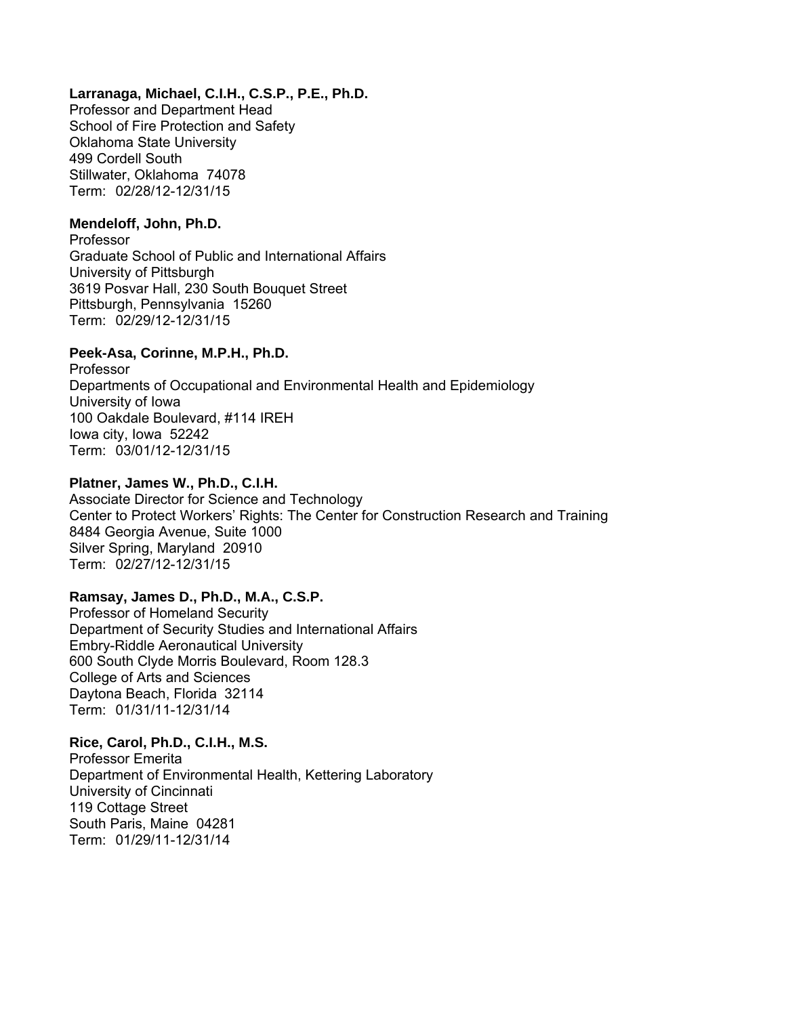## **Larranaga, Michael, C.I.H., C.S.P., P.E., Ph.D.**

Professor and Department Head School of Fire Protection and Safety Oklahoma State University 499 Cordell South Stillwater, Oklahoma 74078 Term: 02/28/12-12/31/15

### **Mendeloff, John, Ph.D.**

Professor Graduate School of Public and International Affairs University of Pittsburgh 3619 Posvar Hall, 230 South Bouquet Street Pittsburgh, Pennsylvania 15260 Term: 02/29/12-12/31/15

## **Peek-Asa, Corinne, M.P.H., Ph.D.**

Professor Departments of Occupational and Environmental Health and Epidemiology University of Iowa 100 Oakdale Boulevard, #114 IREH Iowa city, Iowa 52242 Term: 03/01/12-12/31/15

## **Platner, James W., Ph.D., C.I.H.**

Associate Director for Science and Technology Center to Protect Workers' Rights: The Center for Construction Research and Training 8484 Georgia Avenue, Suite 1000 Silver Spring, Maryland 20910 Term: 02/27/12-12/31/15

# **Ramsay, James D., Ph.D., M.A., C.S.P.**

Professor of Homeland Security Department of Security Studies and International Affairs Embry-Riddle Aeronautical University 600 South Clyde Morris Boulevard, Room 128.3 College of Arts and Sciences Daytona Beach, Florida 32114 Term: 01/31/11-12/31/14

## **Rice, Carol, Ph.D., C.I.H., M.S.**

Professor Emerita Department of Environmental Health, Kettering Laboratory University of Cincinnati 119 Cottage Street South Paris, Maine 04281 Term: 01/29/11-12/31/14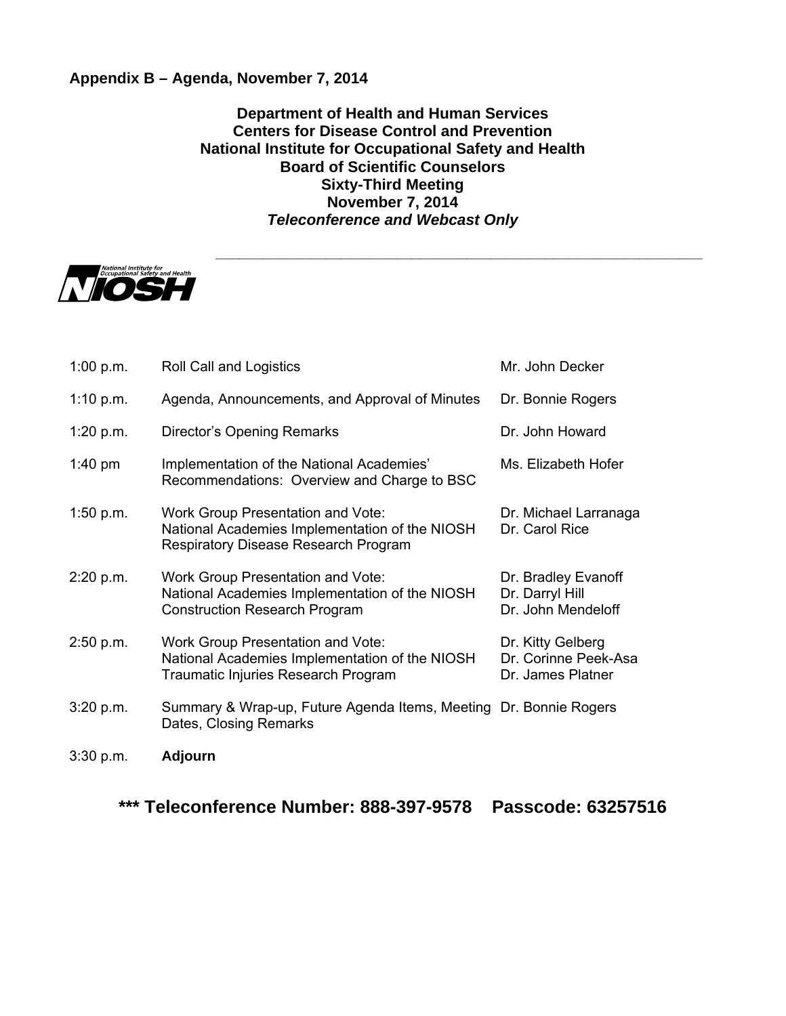# **Appendix B – Agenda, November 7, 2014**

**Department of Health and Human Services Centers for Disease Control and Prevention National Institute for Occupational Safety and Health Board of Scientific Counselors Sixty-Third Meeting November 7, 2014**  *Teleconference and Webcast Only* 

**\_\_\_\_\_\_\_\_\_\_\_\_\_\_\_\_\_\_\_\_\_\_\_\_\_\_\_\_\_\_\_\_\_\_\_\_\_\_\_\_\_\_\_\_\_\_\_\_\_\_\_\_\_\_\_\_\_\_\_\_\_\_** 



| 1:00 p.m.   | Roll Call and Logistics                                                                                                            | Mr. John Decker                                                |
|-------------|------------------------------------------------------------------------------------------------------------------------------------|----------------------------------------------------------------|
| 1:10 $p.m.$ | Agenda, Announcements, and Approval of Minutes                                                                                     | Dr. Bonnie Rogers                                              |
| 1:20 $p.m.$ | Director's Opening Remarks                                                                                                         | Dr. John Howard                                                |
| 1:40 pm     | Implementation of the National Academies'<br>Recommendations: Overview and Charge to BSC                                           | Ms. Elizabeth Hofer                                            |
| 1:50 $p.m.$ | <b>Work Group Presentation and Vote:</b><br>National Academies Implementation of the NIOSH<br>Respiratory Disease Research Program | Dr. Michael Larranaga<br>Dr. Carol Rice                        |
| 2:20 p.m.   | <b>Work Group Presentation and Vote:</b><br>National Academies Implementation of the NIOSH<br><b>Construction Research Program</b> | Dr. Bradley Evanoff<br>Dr. Darryl Hill<br>Dr. John Mendeloff   |
| 2:50 p.m.   | <b>Work Group Presentation and Vote:</b><br>National Academies Implementation of the NIOSH<br>Traumatic Injuries Research Program  | Dr. Kitty Gelberg<br>Dr. Corinne Peek-Asa<br>Dr. James Platner |
| 3:20 p.m.   | Summary & Wrap-up, Future Agenda Items, Meeting Dr. Bonnie Rogers<br>Dates, Closing Remarks                                        |                                                                |
| 3:30 p.m.   | <b>Adjourn</b>                                                                                                                     |                                                                |

 **\*\*\* Teleconference Number: 888-397-9578 Passcode: 63257516**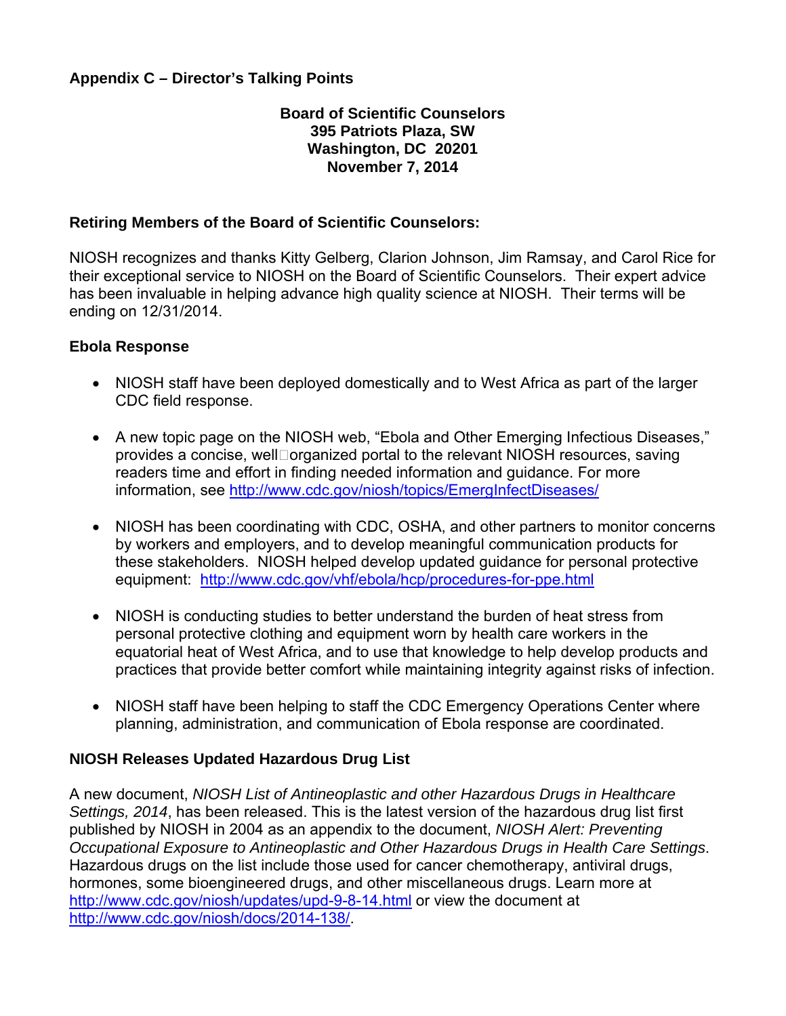# **Appendix C – Director's Talking Points**

# **Board of Scientific Counselors 395 Patriots Plaza, SW Washington, DC 20201 November 7, 2014**

# **Retiring Members of the Board of Scientific Counselors:**

NIOSH recognizes and thanks Kitty Gelberg, Clarion Johnson, Jim Ramsay, and Carol Rice for their exceptional service to NIOSH on the Board of Scientific Counselors. Their expert advice has been invaluable in helping advance high quality science at NIOSH. Their terms will be ending on 12/31/2014.

# **Ebola Response**

- NIOSH staff have been deployed domestically and to West Africa as part of the larger CDC field response.
- A new topic page on the NIOSH web, "Ebola and Other Emerging Infectious Diseases," provides a concise, well organized portal to the relevant NIOSH resources, saving readers time and effort in finding needed information and guidance. For more information, see http://www.cdc.gov/niosh/topics/EmergInfectDiseases/
- equipment: http://www.cdc.gov/vhf/ebola/hcp/procedures-for-ppe.html • NIOSH has been coordinating with CDC, OSHA, and other partners to monitor concerns by workers and employers, and to develop meaningful communication products for these stakeholders. NIOSH helped develop updated guidance for personal protective
- NIOSH is conducting studies to better understand the burden of heat stress from personal protective clothing and equipment worn by health care workers in the equatorial heat of West Africa, and to use that knowledge to help develop products and practices that provide better comfort while maintaining integrity against risks of infection.
- NIOSH staff have been helping to staff the CDC Emergency Operations Center where planning, administration, and communication of Ebola response are coordinated.

# **NIOSH Releases Updated Hazardous Drug List**

A new document, *NIOSH List of Antineoplastic and other Hazardous Drugs in Healthcare Settings, 2014*, has been released. This is the latest version of the hazardous drug list first published by NIOSH in 2004 as an appendix to the document, *NIOSH Alert: Preventing Occupational Exposure to Antineoplastic and Other Hazardous Drugs in Health Care Settings*. Hazardous drugs on the list include those used for cancer chemotherapy, antiviral drugs, hormones, some bioengineered drugs, and other miscellaneous drugs. Learn more at http://www.cdc.gov/niosh/updates/upd-9-8-14.html or view the document at http://www.cdc.gov/niosh/docs/2014-138/.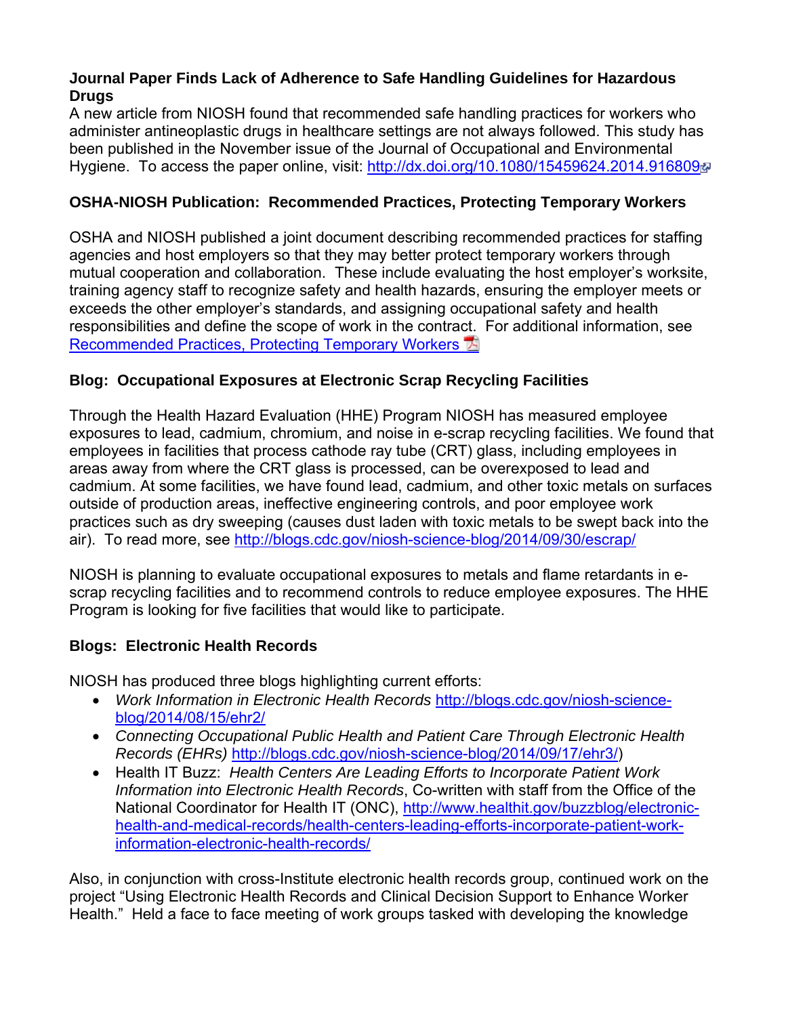# **Journal Paper Finds Lack of Adherence to Safe Handling Guidelines for Hazardous Drugs**

A new article from NIOSH found that recommended safe handling practices for workers who administer antineoplastic drugs in healthcare settings are not always followed. This study has been published in the November issue of the Journal of Occupational and Environmental Hygiene. To access the paper online, visit: http://dx.doi.org/10.1080/15459624.2014.9168094

# **OSHA-NIOSH Publication: Recommended Practices, Protecting Temporary Workers**

OSHA and NIOSH published a joint document describing recommended practices for staffing agencies and host employers so that they may better protect temporary workers through mutual cooperation and collaboration. These include evaluating the host employer's worksite, training agency staff to recognize safety and health hazards, ensuring the employer meets or exceeds the other employer's standards, and assigning occupational safety and health responsibilities and define the scope of work in the contract. For additional information, see Recommended Practices, Protecting Temporary Workers <sup>[3]</sup>

# **Blog: Occupational Exposures at Electronic Scrap Recycling Facilities**

Through the Health Hazard Evaluation (HHE) Program NIOSH has measured employee exposures to lead, cadmium, chromium, and noise in e-scrap recycling facilities. We found that employees in facilities that process cathode ray tube (CRT) glass, including employees in areas away from where the CRT glass is processed, can be overexposed to lead and cadmium. At some facilities, we have found lead, cadmium, and other toxic metals on surfaces outside of production areas, ineffective engineering controls, and poor employee work practices such as dry sweeping (causes dust laden with toxic metals to be swept back into the air). To read more, see http://blogs.cdc.gov/niosh-science-blog/2014/09/30/escrap/

NIOSH is planning to evaluate occupational exposures to metals and flame retardants in escrap recycling facilities and to recommend controls to reduce employee exposures. The HHE Program is looking for five facilities that would like to participate.

# **Blogs: Electronic Health Records**

NIOSH has produced three blogs highlighting current efforts:

- blog/2014/08/15/ehr2/ *Work Information in Electronic Health Records* http://blogs.cdc.gov/niosh-science-
- *Connecting Occupational Public Health and Patient Care Through Electronic Health Records (EHRs)* http://blogs.cdc.gov/niosh-science-blog/2014/09/17/ehr3/)
- Health IT Buzz: *Health Centers Are Leading Efforts to Incorporate Patient Work Information into Electronic Health Records*, Co-written with staff from the Office of the National Coordinator for Health IT (ONC), http://www.healthit.gov/buzzblog/electronichealth-and-medical-records/health-centers-leading-efforts-incorporate-patient-workinformation-electronic-health-records/

Also, in conjunction with cross-Institute electronic health records group, continued work on the project "Using Electronic Health Records and Clinical Decision Support to Enhance Worker Health." Held a face to face meeting of work groups tasked with developing the knowledge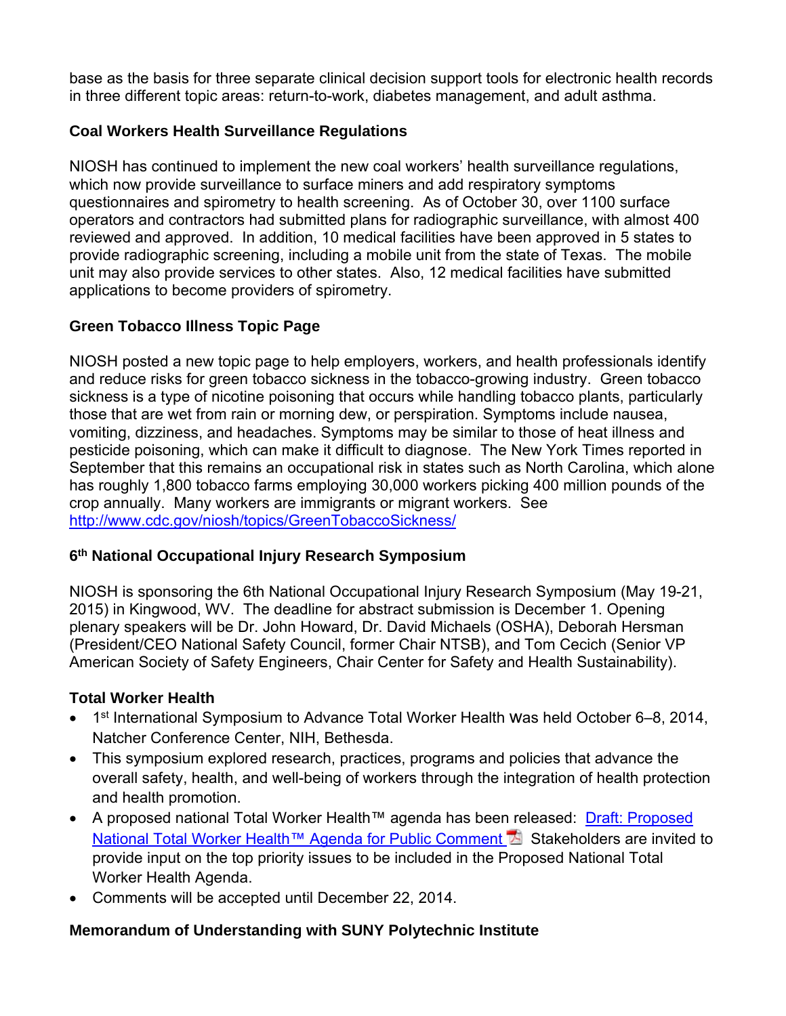base as the basis for three separate clinical decision support tools for electronic health records in three different topic areas: return-to-work, diabetes management, and adult asthma.

# **Coal Workers Health Surveillance Regulations**

NIOSH has continued to implement the new coal workers' health surveillance regulations, which now provide surveillance to surface miners and add respiratory symptoms questionnaires and spirometry to health screening. As of October 30, over 1100 surface operators and contractors had submitted plans for radiographic surveillance, with almost 400 reviewed and approved. In addition, 10 medical facilities have been approved in 5 states to provide radiographic screening, including a mobile unit from the state of Texas. The mobile unit may also provide services to other states. Also, 12 medical facilities have submitted applications to become providers of spirometry.

# **Green Tobacco Illness Topic Page**

 http://www.cdc.gov/niosh/topics/GreenTobaccoSickness/ NIOSH posted a new topic page to help employers, workers, and health professionals identify and reduce risks for green tobacco sickness in the tobacco-growing industry. Green tobacco sickness is a type of nicotine poisoning that occurs while handling tobacco plants, particularly those that are wet from rain or morning dew, or perspiration. Symptoms include nausea, vomiting, dizziness, and headaches. Symptoms may be similar to those of heat illness and pesticide poisoning, which can make it difficult to diagnose. The New York Times reported in September that this remains an occupational risk in states such as North Carolina, which alone has roughly 1,800 tobacco farms employing 30,000 workers picking 400 million pounds of the crop annually. Many workers are immigrants or migrant workers. See

# **6th National Occupational Injury Research Symposium**

NIOSH is sponsoring the 6th National Occupational Injury Research Symposium (May 19-21, 2015) in Kingwood, WV. The deadline for abstract submission is December 1. Opening plenary speakers will be Dr. John Howard, Dr. David Michaels (OSHA), Deborah Hersman (President/CEO National Safety Council, former Chair NTSB), and Tom Cecich (Senior VP American Society of Safety Engineers, Chair Center for Safety and Health Sustainability).

# **Total Worker Health**

- 1<sup>st</sup> International Symposium to Advance Total Worker Health was held October 6-8, 2014, Natcher Conference Center, NIH, Bethesda.
- This symposium explored research, practices, programs and policies that advance the overall safety, health, and well-being of workers through the integration of health protection and health promotion.
- A proposed national Total Worker Health™ agenda has been released: Draft: Proposed National Total Worker Health™ Agenda for Public Comment A Stakeholders are invited to provide input on the top priority issues to be included in the Proposed National Total Worker Health Agenda.
- Comments will be accepted until December 22, 2014.

# **Memorandum of Understanding with SUNY Polytechnic Institute**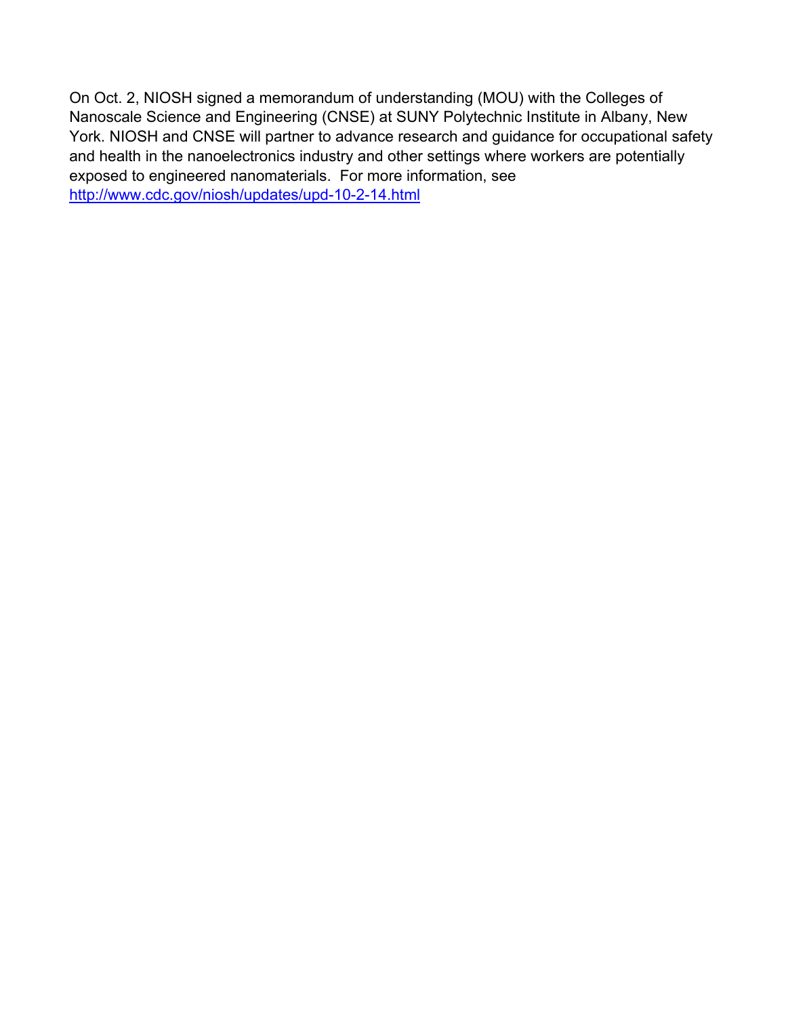http://www.cdc.gov/niosh/updates/upd-10-2-14.html On Oct. 2, NIOSH signed a memorandum of understanding (MOU) with the Colleges of Nanoscale Science and Engineering (CNSE) at SUNY Polytechnic Institute in Albany, New York. NIOSH and CNSE will partner to advance research and guidance for occupational safety and health in the nanoelectronics industry and other settings where workers are potentially exposed to engineered nanomaterials. For more information, see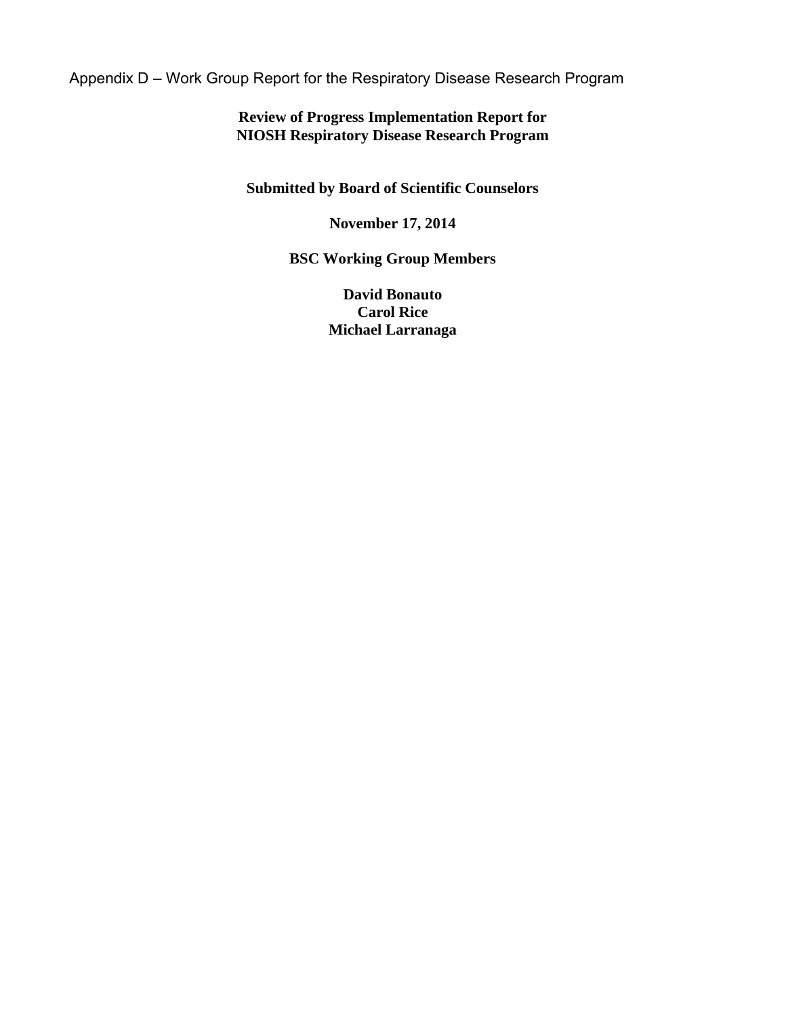Appendix D – Work Group Report for the Respiratory Disease Research Program

# **Review of Progress Implementation Report for NIOSH Respiratory Disease Research Program**

**Submitted by Board of Scientific Counselors** 

# **November 17, 2014**

# **BSC Working Group Members**

**David Bonauto Carol Rice Michael Larranaga**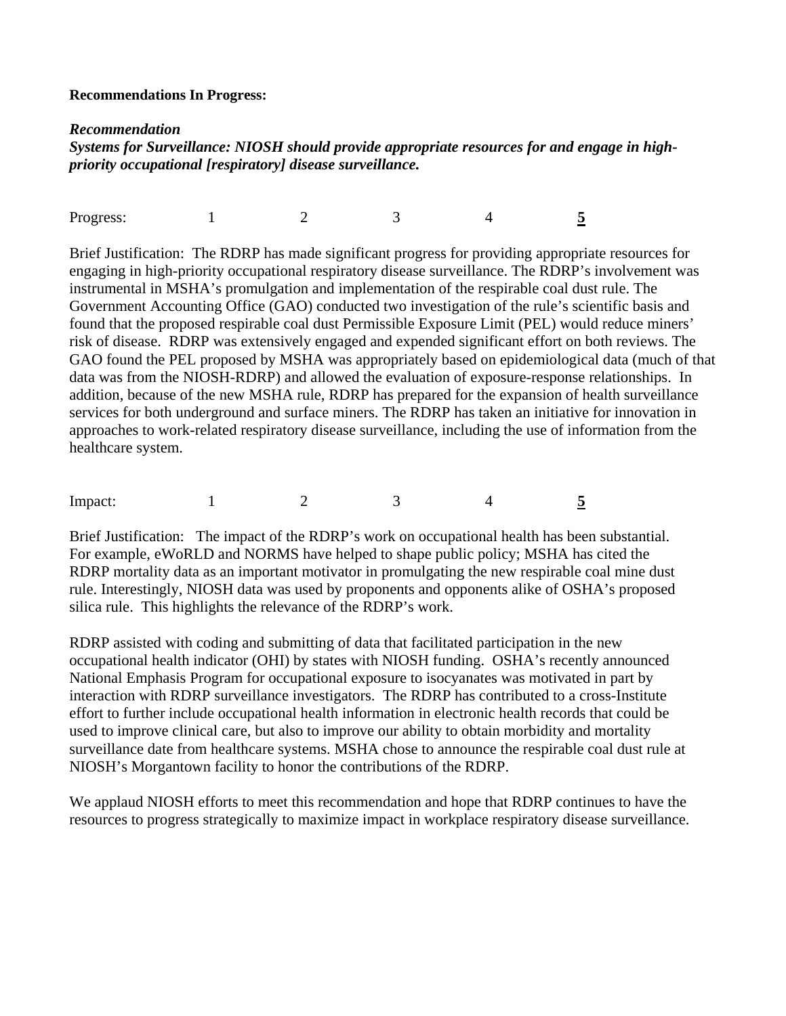### **Recommendations In Progress:**

#### *Recommendation*

*Systems for Surveillance: NIOSH should provide appropriate resources for and engage in highpriority occupational [respiratory] disease surveillance.* 

Progress: 1 2 3 4 5

Brief Justification: The RDRP has made significant progress for providing appropriate resources for engaging in high-priority occupational respiratory disease surveillance. The RDRP's involvement was instrumental in MSHA's promulgation and implementation of the respirable coal dust rule. The Government Accounting Office (GAO) conducted two investigation of the rule's scientific basis and found that the proposed respirable coal dust Permissible Exposure Limit (PEL) would reduce miners' risk of disease. RDRP was extensively engaged and expended significant effort on both reviews. The GAO found the PEL proposed by MSHA was appropriately based on epidemiological data (much of that data was from the NIOSH-RDRP) and allowed the evaluation of exposure-response relationships. In addition, because of the new MSHA rule, RDRP has prepared for the expansion of health surveillance services for both underground and surface miners. The RDRP has taken an initiative for innovation in approaches to work-related respiratory disease surveillance, including the use of information from the healthcare system.

Impact: 1 2 3 4 5

Brief Justification: The impact of the RDRP's work on occupational health has been substantial. For example, eWoRLD and NORMS have helped to shape public policy; MSHA has cited the RDRP mortality data as an important motivator in promulgating the new respirable coal mine dust rule. Interestingly, NIOSH data was used by proponents and opponents alike of OSHA's proposed silica rule. This highlights the relevance of the RDRP's work.

RDRP assisted with coding and submitting of data that facilitated participation in the new occupational health indicator (OHI) by states with NIOSH funding. OSHA's recently announced National Emphasis Program for occupational exposure to isocyanates was motivated in part by interaction with RDRP surveillance investigators. The RDRP has contributed to a cross-Institute effort to further include occupational health information in electronic health records that could be used to improve clinical care, but also to improve our ability to obtain morbidity and mortality surveillance date from healthcare systems. MSHA chose to announce the respirable coal dust rule at NIOSH's Morgantown facility to honor the contributions of the RDRP.

We applaud NIOSH efforts to meet this recommendation and hope that RDRP continues to have the resources to progress strategically to maximize impact in workplace respiratory disease surveillance.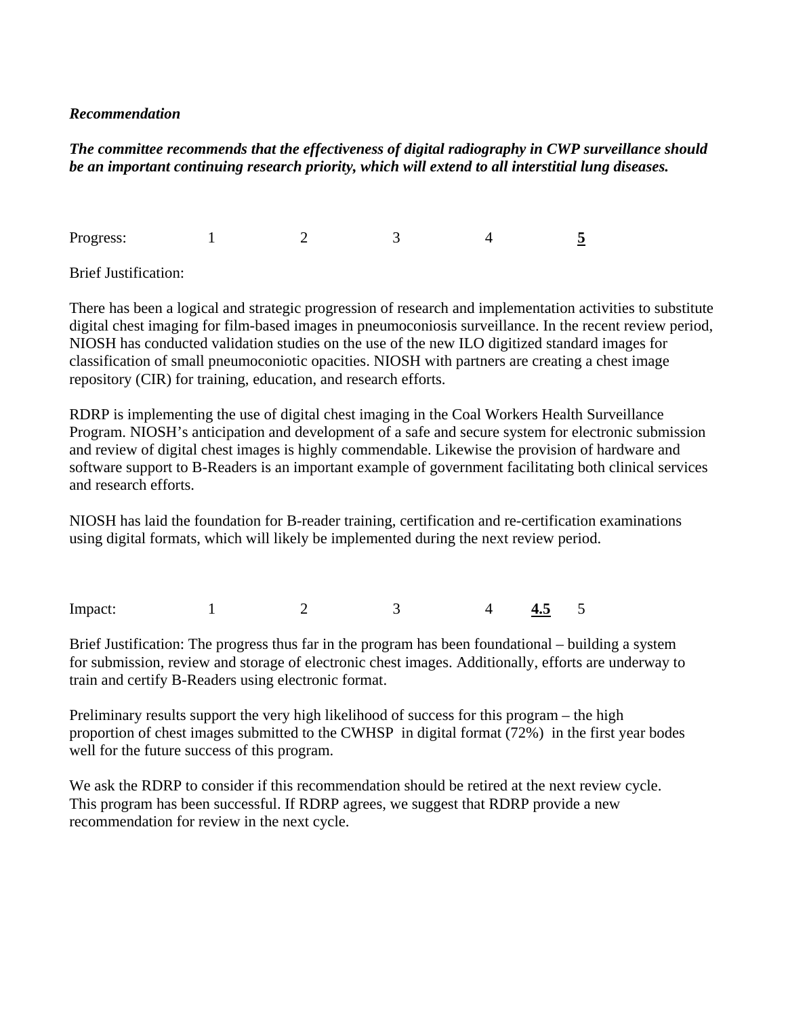## *Recommendation*

# *The committee recommends that the effectiveness of digital radiography in CWP surveillance should be an important continuing research priority, which will extend to all interstitial lung diseases.*

Progress: Progress: 1 2 3 4 **5** 

**Brief Justification:** 

There has been a logical and strategic progression of research and implementation activities to substitute digital chest imaging for film-based images in pneumoconiosis surveillance. In the recent review period, NIOSH has conducted validation studies on the use of the new ILO digitized standard images for classification of small pneumoconiotic opacities. NIOSH with partners are creating a chest image repository (CIR) for training, education, and research efforts.

RDRP is implementing the use of digital chest imaging in the Coal Workers Health Surveillance Program. NIOSH's anticipation and development of a safe and secure system for electronic submission and review of digital chest images is highly commendable. Likewise the provision of hardware and software support to B-Readers is an important example of government facilitating both clinical services and research efforts.

NIOSH has laid the foundation for B-reader training, certification and re-certification examinations using digital formats, which will likely be implemented during the next review period.

Impact: 1 2 3 4 **4.5** 5

Brief Justification: The progress thus far in the program has been foundational – building a system for submission, review and storage of electronic chest images. Additionally, efforts are underway to train and certify B-Readers using electronic format.

Preliminary results support the very high likelihood of success for this program – the high proportion of chest images submitted to the CWHSP in digital format (72%) in the first year bodes well for the future success of this program.

We ask the RDRP to consider if this recommendation should be retired at the next review cycle. This program has been successful. If RDRP agrees, we suggest that RDRP provide a new recommendation for review in the next cycle.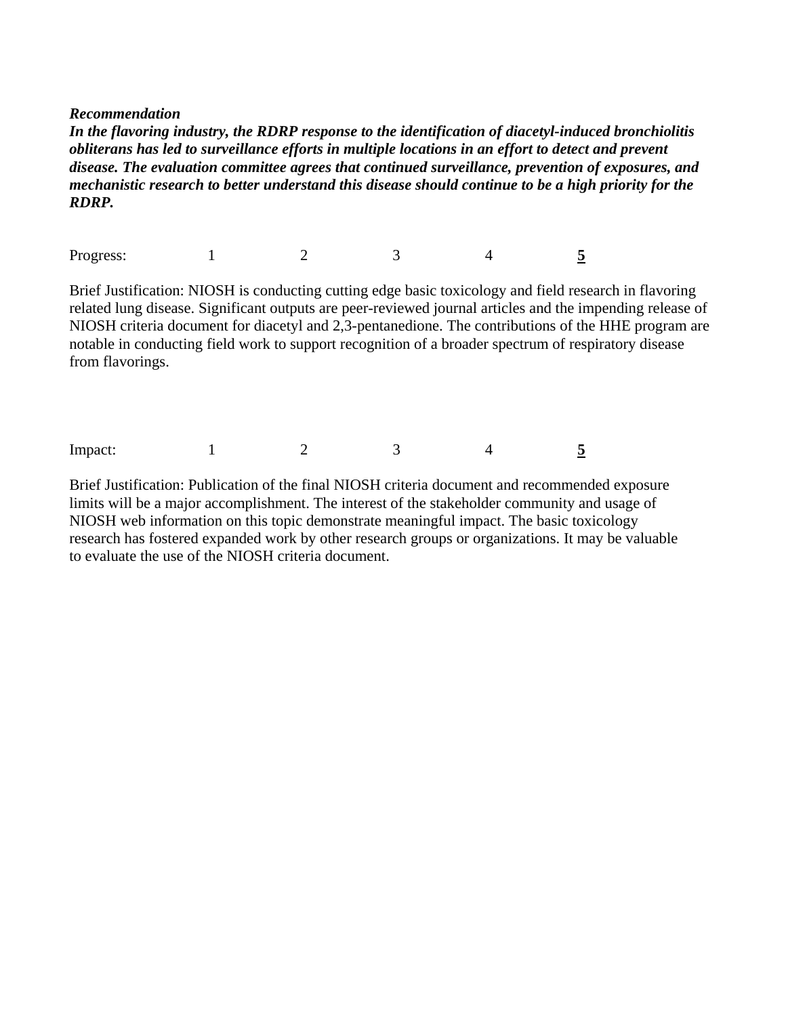*Recommendation* 

*In the flavoring industry, the RDRP response to the identification of diacetyl-induced bronchiolitis obliterans has led to surveillance efforts in multiple locations in an effort to detect and prevent disease. The evaluation committee agrees that continued surveillance, prevention of exposures, and mechanistic research to better understand this disease should continue to be a high priority for the RDRP.* 

Progress: 1 2 3 4 5

Brief Justification: NIOSH is conducting cutting edge basic toxicology and field research in flavoring related lung disease. Significant outputs are peer-reviewed journal articles and the impending release of NIOSH criteria document for diacetyl and 2,3-pentanedione. The contributions of the HHE program are notable in conducting field work to support recognition of a broader spectrum of respiratory disease from flavorings.

Impact: 1 2 3 4 5

Brief Justification: Publication of the final NIOSH criteria document and recommended exposure limits will be a major accomplishment. The interest of the stakeholder community and usage of NIOSH web information on this topic demonstrate meaningful impact. The basic toxicology research has fostered expanded work by other research groups or organizations. It may be valuable to evaluate the use of the NIOSH criteria document.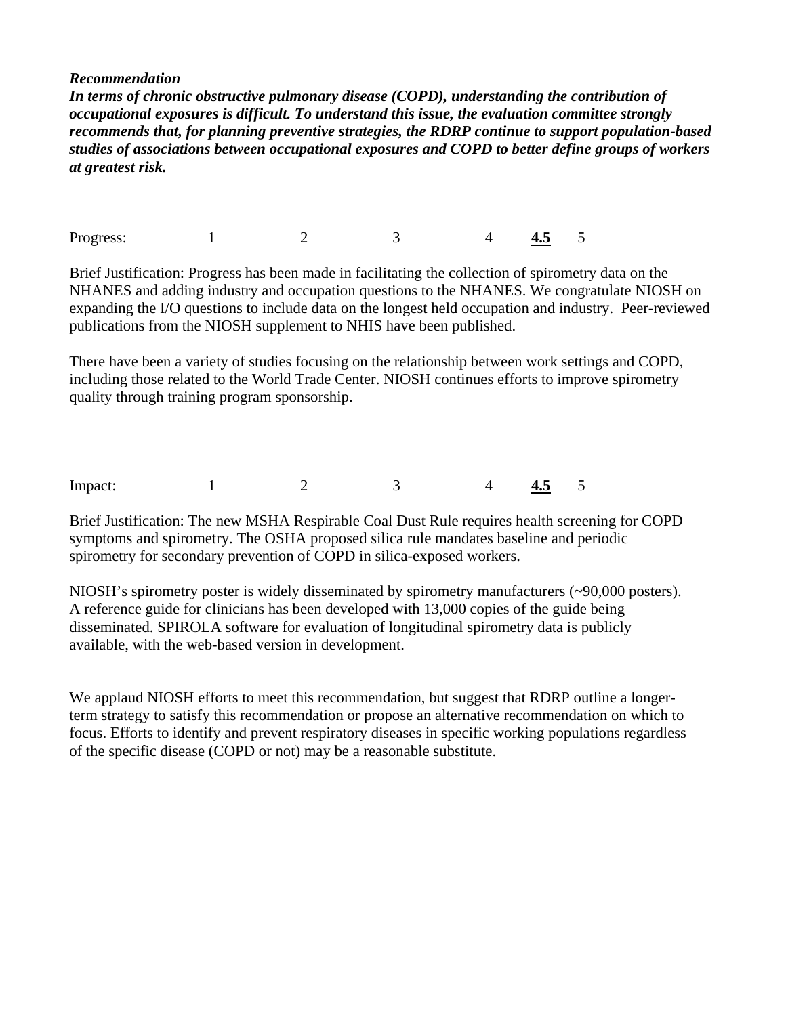### *Recommendation*

*In terms of chronic obstructive pulmonary disease (COPD), understanding the contribution of occupational exposures is difficult. To understand this issue, the evaluation committee strongly recommends that, for planning preventive strategies, the RDRP continue to support population-based studies of associations between occupational exposures and COPD to better define groups of workers at greatest risk.* 

Progress: 1 2 3 4 4.5 5

Brief Justification: Progress has been made in facilitating the collection of spirometry data on the NHANES and adding industry and occupation questions to the NHANES. We congratulate NIOSH on expanding the I/O questions to include data on the longest held occupation and industry. Peer-reviewed publications from the NIOSH supplement to NHIS have been published.

There have been a variety of studies focusing on the relationship between work settings and COPD, including those related to the World Trade Center. NIOSH continues efforts to improve spirometry quality through training program sponsorship.

Impact: 1 2 3 4 4.5 5

Brief Justification: The new MSHA Respirable Coal Dust Rule requires health screening for COPD symptoms and spirometry. The OSHA proposed silica rule mandates baseline and periodic spirometry for secondary prevention of COPD in silica-exposed workers.

NIOSH's spirometry poster is widely disseminated by spirometry manufacturers (~90,000 posters). A reference guide for clinicians has been developed with 13,000 copies of the guide being disseminated. SPIROLA software for evaluation of longitudinal spirometry data is publicly available, with the web-based version in development.

We applaud NIOSH efforts to meet this recommendation, but suggest that RDRP outline a longerterm strategy to satisfy this recommendation or propose an alternative recommendation on which to focus. Efforts to identify and prevent respiratory diseases in specific working populations regardless of the specific disease (COPD or not) may be a reasonable substitute.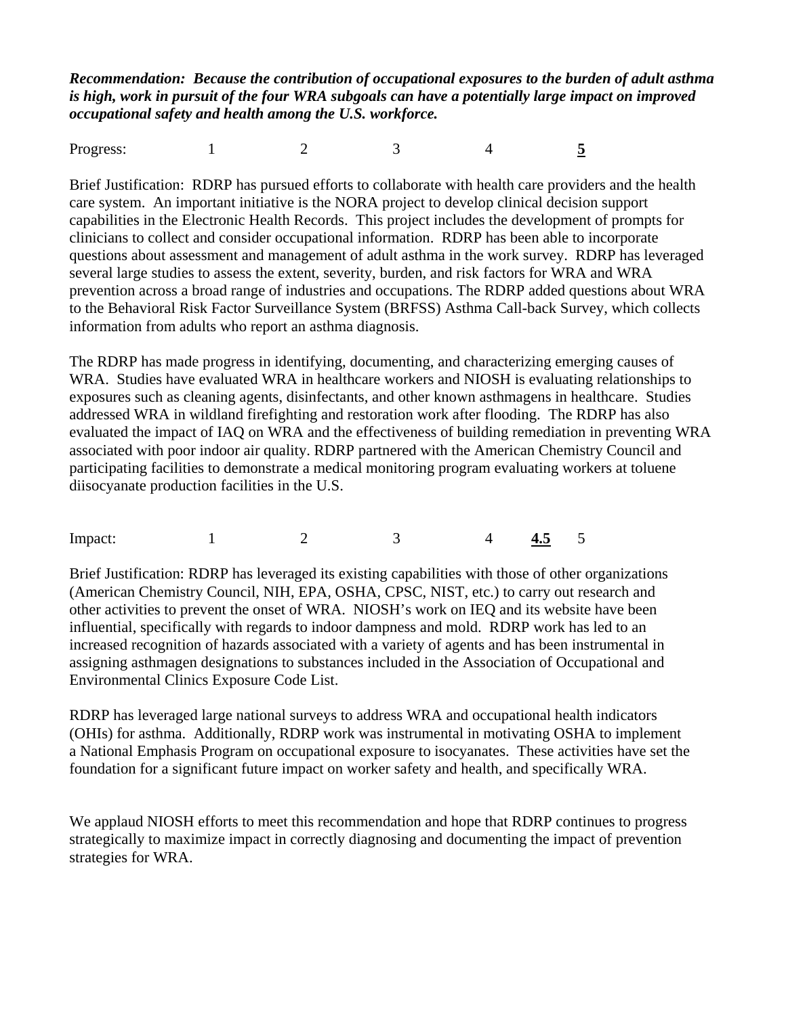*Recommendation: Because the contribution of occupational exposures to the burden of adult asthma is high, work in pursuit of the four WRA subgoals can have a potentially large impact on improved occupational safety and health among the U.S. workforce.* 

Progress: 1 2 3 4 5

Brief Justification: RDRP has pursued efforts to collaborate with health care providers and the health care system. An important initiative is the NORA project to develop clinical decision support capabilities in the Electronic Health Records. This project includes the development of prompts for clinicians to collect and consider occupational information. RDRP has been able to incorporate questions about assessment and management of adult asthma in the work survey. RDRP has leveraged several large studies to assess the extent, severity, burden, and risk factors for WRA and WRA prevention across a broad range of industries and occupations. The RDRP added questions about WRA to the Behavioral Risk Factor Surveillance System (BRFSS) Asthma Call-back Survey, which collects information from adults who report an asthma diagnosis.

The RDRP has made progress in identifying, documenting, and characterizing emerging causes of WRA. Studies have evaluated WRA in healthcare workers and NIOSH is evaluating relationships to exposures such as cleaning agents, disinfectants, and other known asthmagens in healthcare. Studies addressed WRA in wildland firefighting and restoration work after flooding. The RDRP has also evaluated the impact of IAQ on WRA and the effectiveness of building remediation in preventing WRA associated with poor indoor air quality. RDRP partnered with the American Chemistry Council and participating facilities to demonstrate a medical monitoring program evaluating workers at toluene diisocyanate production facilities in the U.S.

Impact: 1 2 3 4 4.5 5

Brief Justification: RDRP has leveraged its existing capabilities with those of other organizations (American Chemistry Council, NIH, EPA, OSHA, CPSC, NIST, etc.) to carry out research and other activities to prevent the onset of WRA. NIOSH's work on IEQ and its website have been influential, specifically with regards to indoor dampness and mold. RDRP work has led to an increased recognition of hazards associated with a variety of agents and has been instrumental in assigning asthmagen designations to substances included in the Association of Occupational and Environmental Clinics Exposure Code List.

RDRP has leveraged large national surveys to address WRA and occupational health indicators (OHIs) for asthma. Additionally, RDRP work was instrumental in motivating OSHA to implement a National Emphasis Program on occupational exposure to isocyanates. These activities have set the foundation for a significant future impact on worker safety and health, and specifically WRA.

We applaud NIOSH efforts to meet this recommendation and hope that RDRP continues to progress strategically to maximize impact in correctly diagnosing and documenting the impact of prevention strategies for WRA.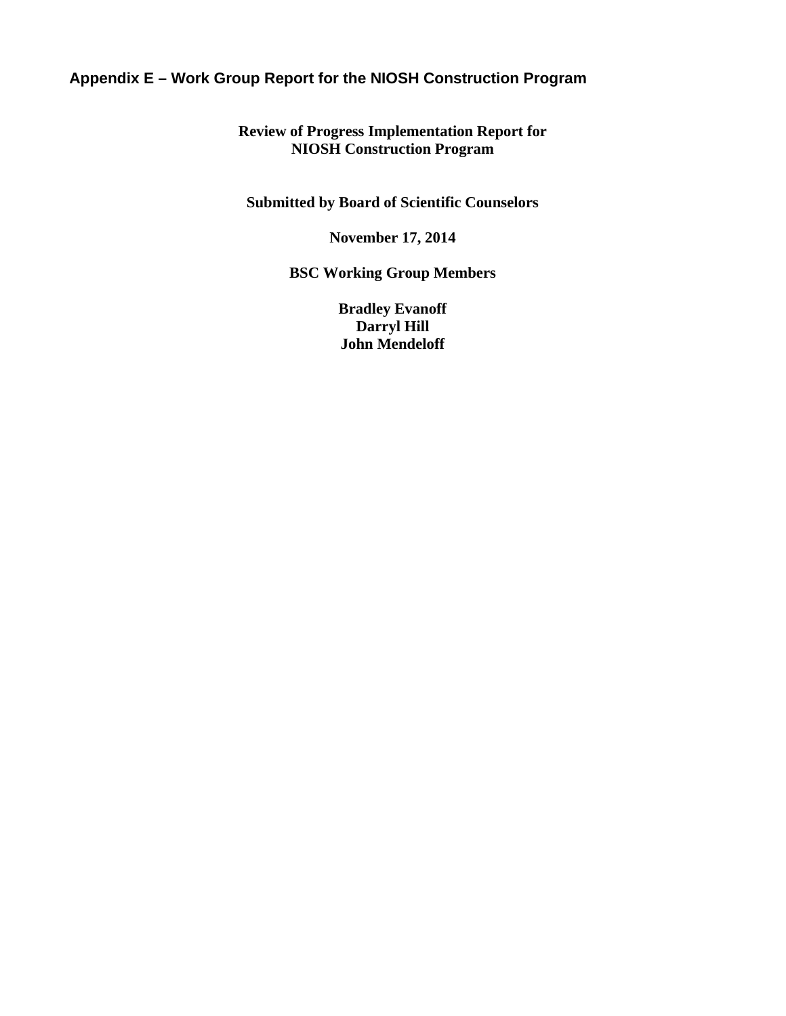# **Appendix E – Work Group Report for the NIOSH Construction Program**

# **Review of Progress Implementation Report for NIOSH Construction Program**

**Submitted by Board of Scientific Counselors** 

**November 17, 2014** 

**BSC Working Group Members** 

**Bradley Evanoff Darryl Hill John Mendeloff**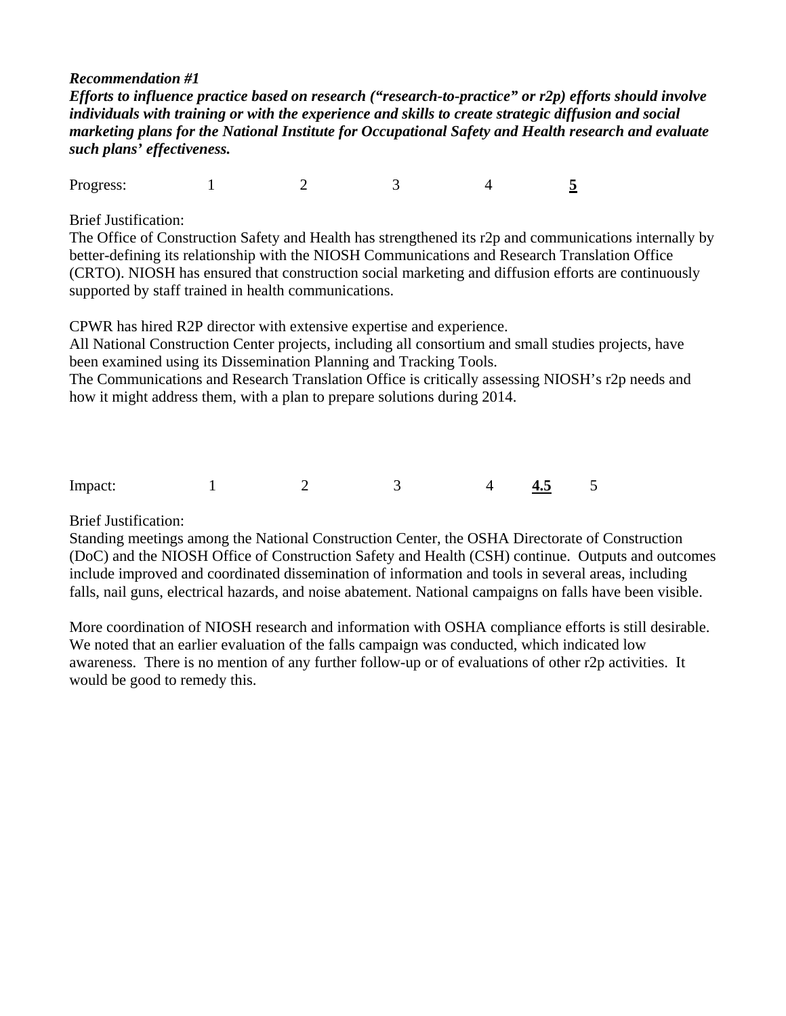## *Recommendation #1*

*Efforts to influence practice based on research ("research-to-practice" or r2p) efforts should involve individuals with training or with the experience and skills to create strategic diffusion and social marketing plans for the National Institute for Occupational Safety and Health research and evaluate such plans' effectiveness.* 

 $\overline{5}$ **Progress:** 1 2 3 4

Brief Justification:

The Office of Construction Safety and Health has strengthened its r2p and communications internally by better-defining its relationship with the NIOSH Communications and Research Translation Office (CRTO). NIOSH has ensured that construction social marketing and diffusion efforts are continuously supported by staff trained in health communications.

CPWR has hired R2P director with extensive expertise and experience.

All National Construction Center projects, including all consortium and small studies projects, have been examined using its Dissemination Planning and Tracking Tools.

The Communications and Research Translation Office is critically assessing NIOSH's r2p needs and how it might address them, with a plan to prepare solutions during 2014.

 Impact: 1 2 3 4 4.5 5

**Brief Justification:** 

Standing meetings among the National Construction Center, the OSHA Directorate of Construction (DoC) and the NIOSH Office of Construction Safety and Health (CSH) continue. Outputs and outcomes include improved and coordinated dissemination of information and tools in several areas, including falls, nail guns, electrical hazards, and noise abatement. National campaigns on falls have been visible.

More coordination of NIOSH research and information with OSHA compliance efforts is still desirable. We noted that an earlier evaluation of the falls campaign was conducted, which indicated low awareness. There is no mention of any further follow-up or of evaluations of other r2p activities. It would be good to remedy this.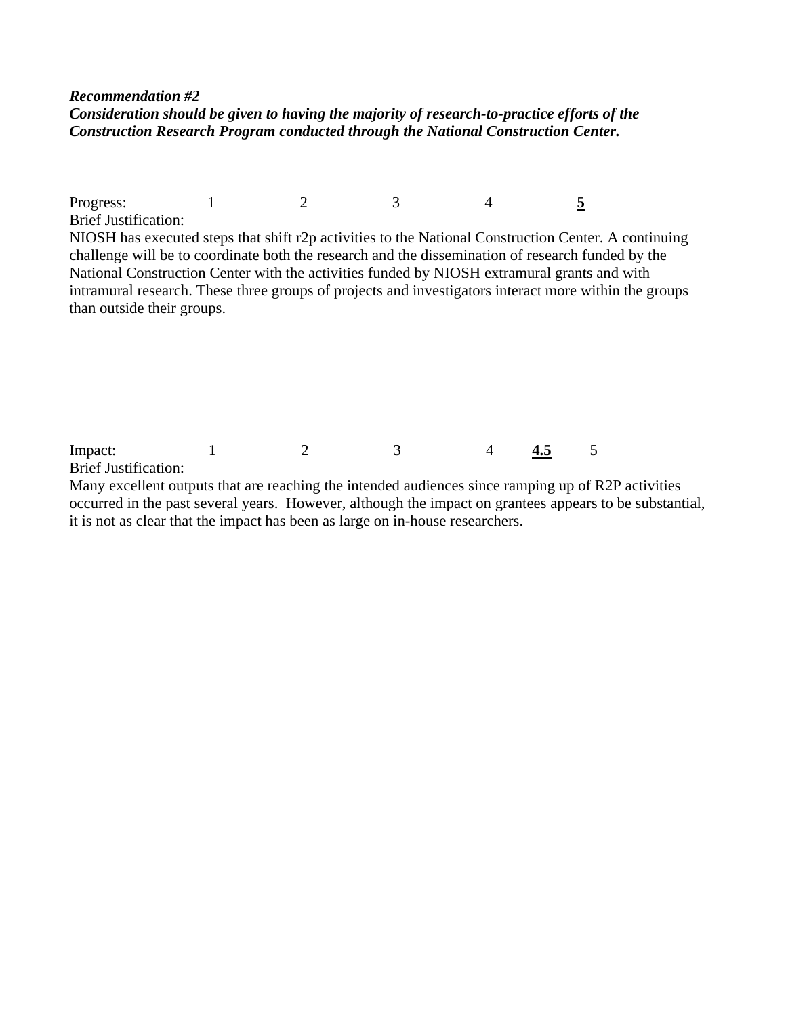## *Recommendation #2 Consideration should be given to having the majority of research-to-practice efforts of the Construction Research Program conducted through the National Construction Center.*

 $\overline{5}$ **Brief Justification: Progress:** 1 2 3 4 NIOSH has executed steps that shift r2p activities to the National Construction Center. A continuing challenge will be to coordinate both the research and the dissemination of research funded by the National Construction Center with the activities funded by NIOSH extramural grants and with intramural research. These three groups of projects and investigators interact more within the groups than outside their groups.

Impact: 1 2 3 4 **4.5** 5

Brief Justification:

Many excellent outputs that are reaching the intended audiences since ramping up of R2P activities occurred in the past several years. However, although the impact on grantees appears to be substantial, it is not as clear that the impact has been as large on in-house researchers.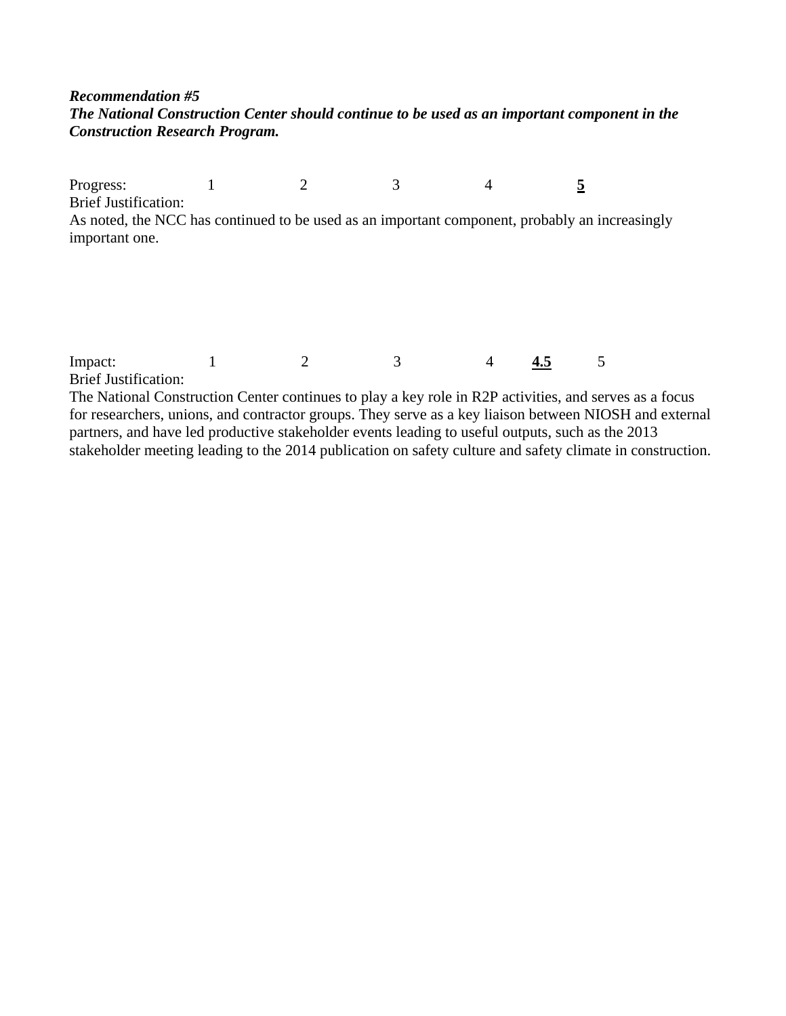# *Recommendation #5 The National Construction Center should continue to be used as an important component in the Construction Research Program.*

 $\overline{5}$  Brief Justification: Progress: 1 2 3 4 5 As noted, the NCC has continued to be used as an important component, probably an increasingly

Impact: 1 2 3 4 4.5 5

**Brief Justification:** 

important one.

The National Construction Center continues to play a key role in R2P activities, and serves as a focus for researchers, unions, and contractor groups. They serve as a key liaison between NIOSH and external partners, and have led productive stakeholder events leading to useful outputs, such as the 2013 stakeholder meeting leading to the 2014 publication on safety culture and safety climate in construction.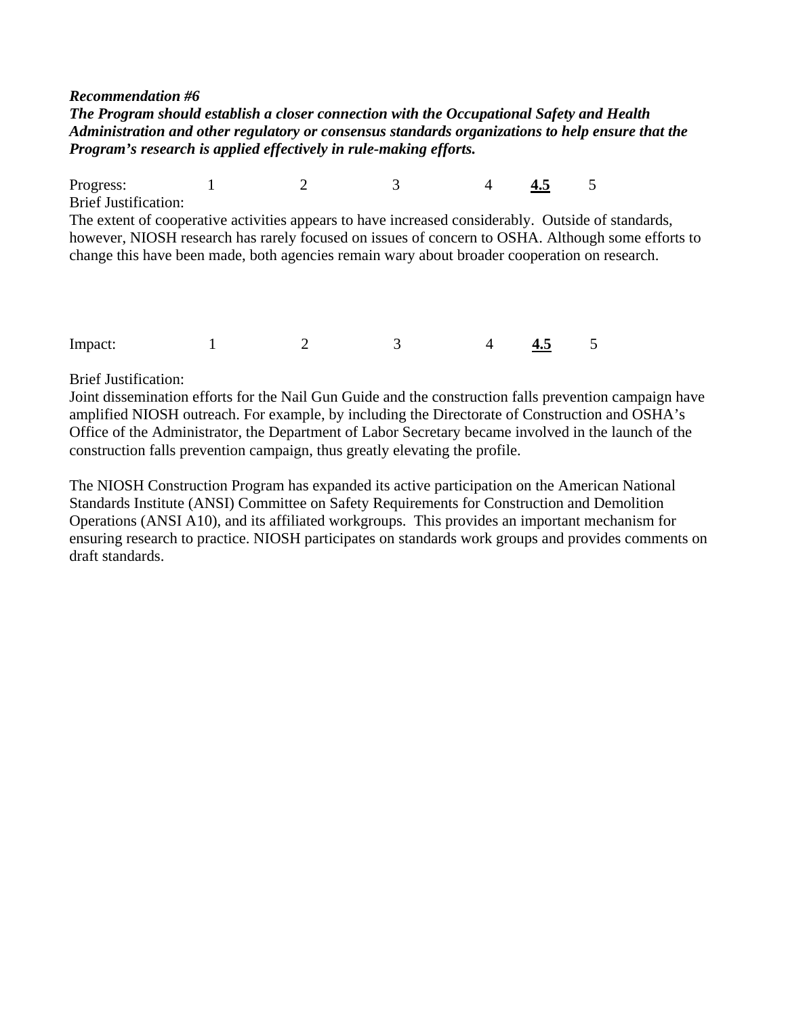#### *Recommendation #6*

*The Program should establish a closer connection with the Occupational Safety and Health Administration and other regulatory or consensus standards organizations to help ensure that the Program's research is applied effectively in rule-making efforts.* 

**Brief Justification:** Progress: 1 2 3 4 4.5 5 The extent of cooperative activities appears to have increased considerably. Outside of standards, however, NIOSH research has rarely focused on issues of concern to OSHA. Although some efforts to change this have been made, both agencies remain wary about broader cooperation on research.

**Brief Justification:** 

Impact: 1 2 3 4 4.5 5<br>Brief Justification:<br>Joint dissemination efforts for the Nail Gun Guide and the construction falls prevention campaign have amplified NIOSH outreach. For example, by including the Directorate of Construction and OSHA's Office of the Administrator, the Department of Labor Secretary became involved in the launch of the construction falls prevention campaign, thus greatly elevating the profile.

The NIOSH Construction Program has expanded its active participation on the American National Standards Institute (ANSI) Committee on Safety Requirements for Construction and Demolition Operations (ANSI A10), and its affiliated workgroups. This provides an important mechanism for ensuring research to practice. NIOSH participates on standards work groups and provides comments on draft standards.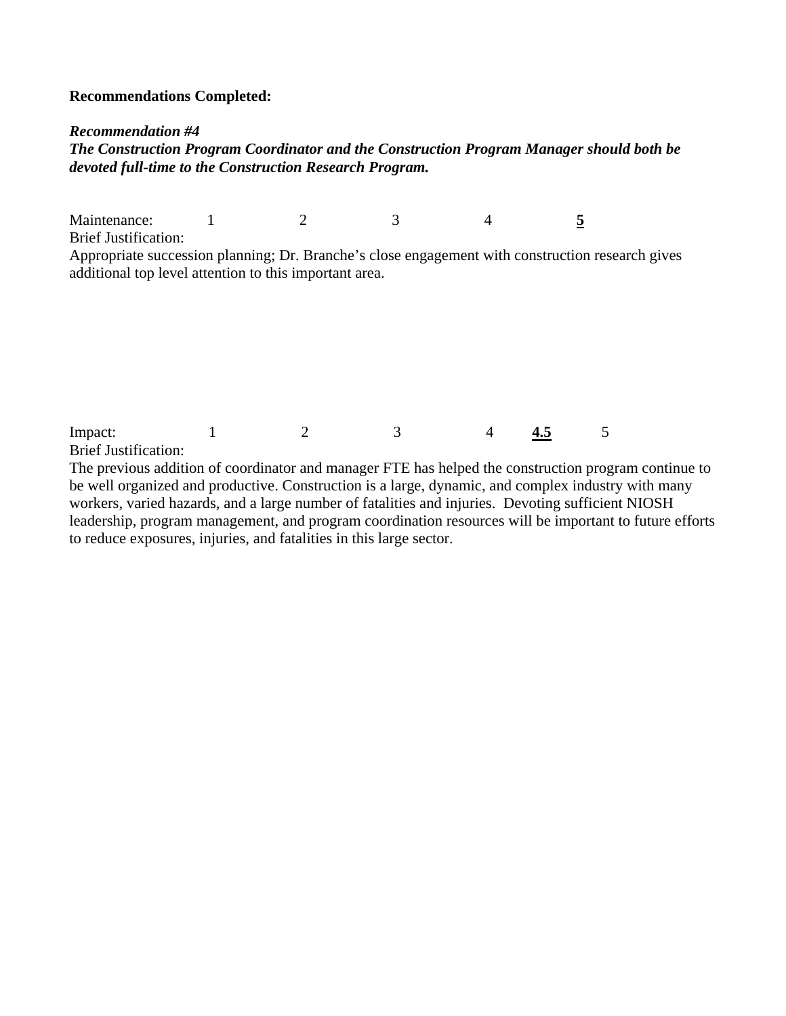## **Recommendations Completed:**

#### *Recommendation #4*

*The Construction Program Coordinator and the Construction Program Manager should both be devoted full-time to the Construction Research Program.* 

 $\overline{5}$  Brief Justification: Maintenance: 1 2 3 4

Appropriate succession planning; Dr. Branche's close engagement with construction research gives additional top level attention to this important area.

**Brief Justification:** Impact: 1 2 3 4 4.5 5

The previous addition of coordinator and manager FTE has helped the construction program continue to be well organized and productive. Construction is a large, dynamic, and complex industry with many workers, varied hazards, and a large number of fatalities and injuries. Devoting sufficient NIOSH leadership, program management, and program coordination resources will be important to future efforts to reduce exposures, injuries, and fatalities in this large sector.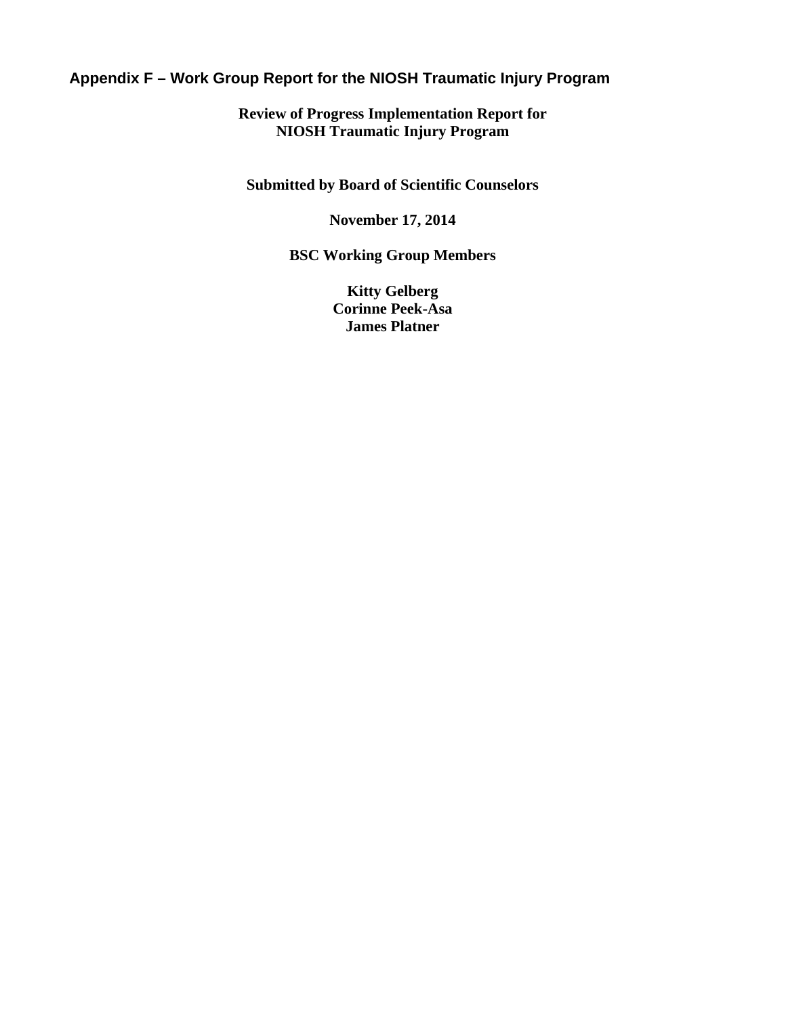# **Appendix F – Work Group Report for the NIOSH Traumatic Injury Program**

**Review of Progress Implementation Report for NIOSH Traumatic Injury Program** 

**Submitted by Board of Scientific Counselors** 

**November 17, 2014** 

**BSC Working Group Members** 

**Kitty Gelberg Corinne Peek-Asa James Platner**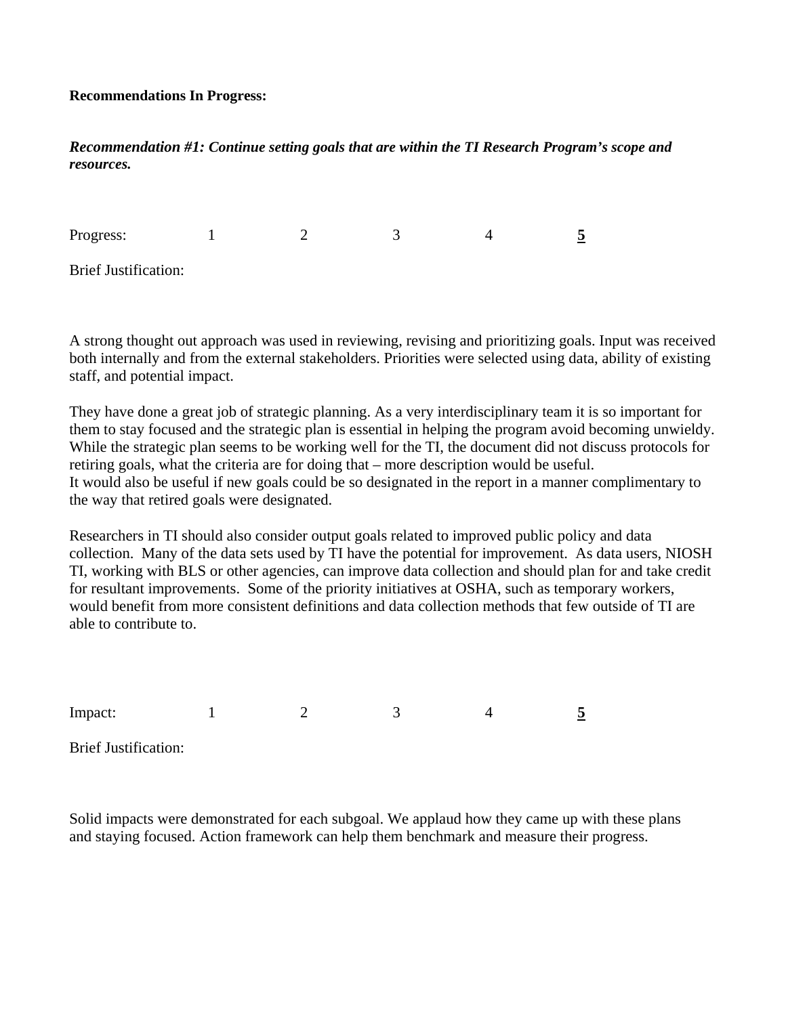### **Recommendations In Progress:**

# *Recommendation #1: Continue setting goals that are within the TI Research Program's scope and resources.*

Progress: **Brief Justification:** Progress: 1 2 3 4 **5** 

A strong thought out approach was used in reviewing, revising and prioritizing goals. Input was received both internally and from the external stakeholders. Priorities were selected using data, ability of existing staff, and potential impact.

They have done a great job of strategic planning. As a very interdisciplinary team it is so important for them to stay focused and the strategic plan is essential in helping the program avoid becoming unwieldy. While the strategic plan seems to be working well for the TI, the document did not discuss protocols for retiring goals, what the criteria are for doing that – more description would be useful. It would also be useful if new goals could be so designated in the report in a manner complimentary to the way that retired goals were designated.

Researchers in TI should also consider output goals related to improved public policy and data collection. Many of the data sets used by TI have the potential for improvement. As data users, NIOSH TI, working with BLS or other agencies, can improve data collection and should plan for and take credit for resultant improvements. Some of the priority initiatives at OSHA, such as temporary workers, would benefit from more consistent definitions and data collection methods that few outside of TI are able to contribute to.

**Brief Justification:** Impact: 1 2 3 4 5

Solid impacts were demonstrated for each subgoal. We applaud how they came up with these plans and staying focused. Action framework can help them benchmark and measure their progress.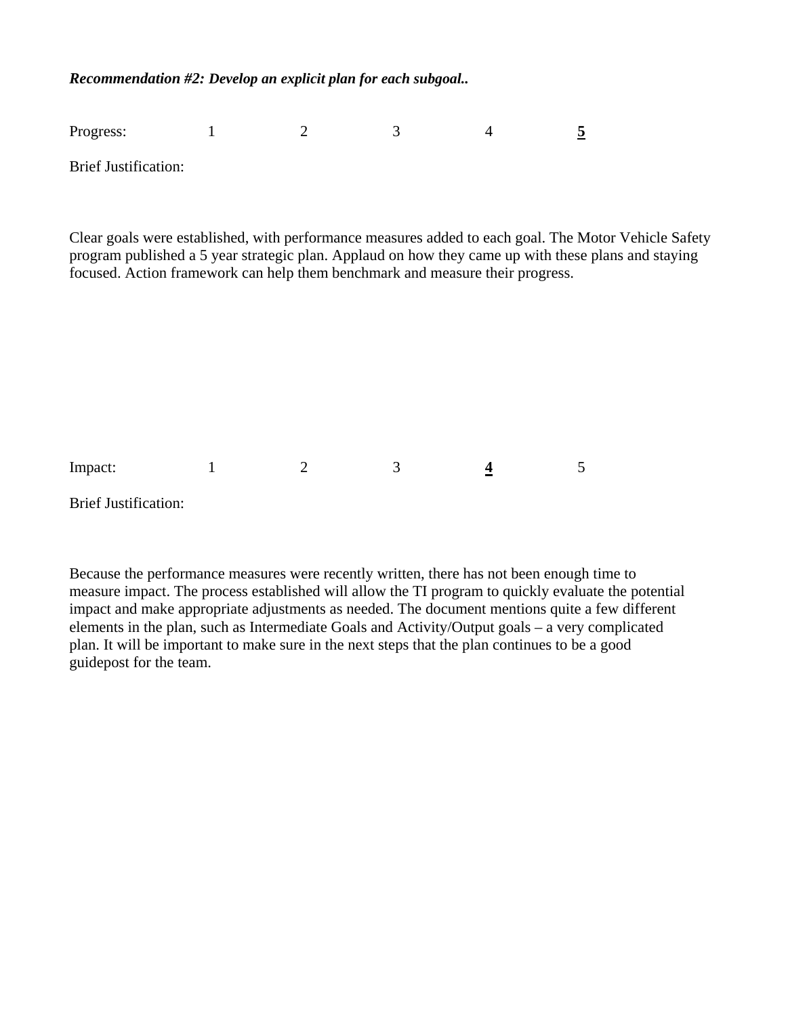*Recommendation #2: Develop an explicit plan for each subgoal..* 

Progress: 1 2 3 4 **5** 

**Brief Justification:** 

Clear goals were established, with performance measures added to each goal. The Motor Vehicle Safety program published a 5 year strategic plan. Applaud on how they came up with these plans and staying focused. Action framework can help them benchmark and measure their progress.

 $\overline{4}$ **Brief Justification:** Impact: 1 2 3 4 5

Because the performance measures were recently written, there has not been enough time to measure impact. The process established will allow the TI program to quickly evaluate the potential impact and make appropriate adjustments as needed. The document mentions quite a few different elements in the plan, such as Intermediate Goals and Activity/Output goals – a very complicated plan. It will be important to make sure in the next steps that the plan continues to be a good guidepost for the team.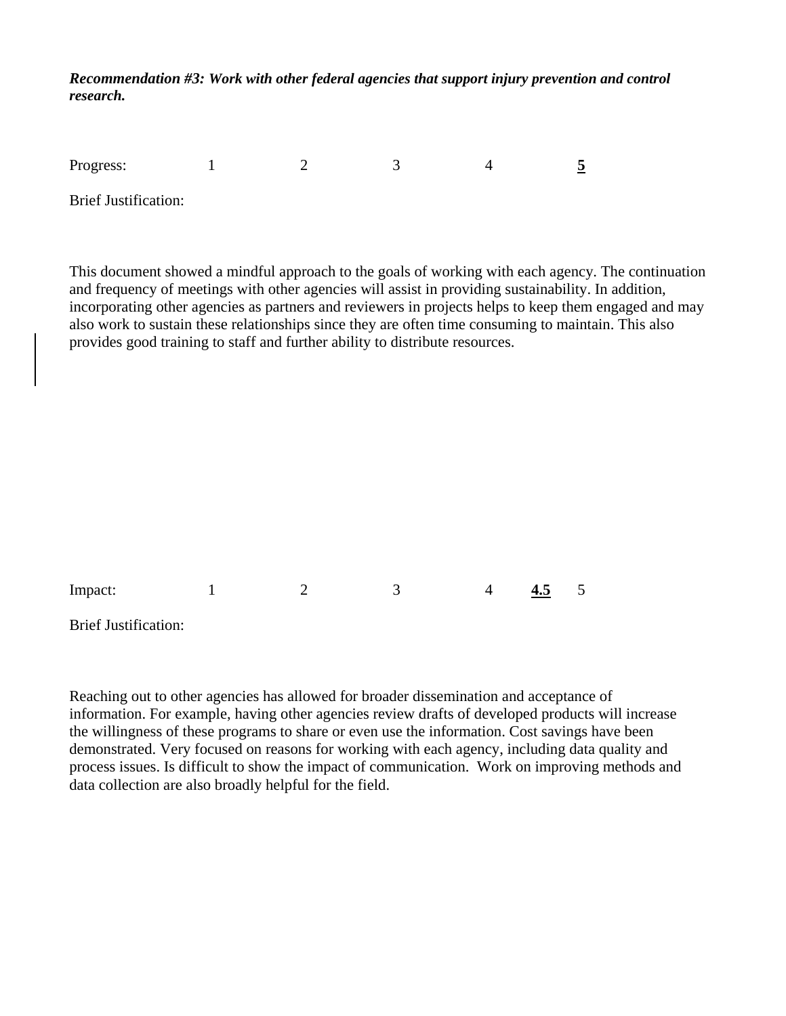*Recommendation #3: Work with other federal agencies that support injury prevention and control research.* 

| Progress:                   |  |  |  |
|-----------------------------|--|--|--|
| <b>Brief Justification:</b> |  |  |  |

This document showed a mindful approach to the goals of working with each agency. The continuation and frequency of meetings with other agencies will assist in providing sustainability. In addition, incorporating other agencies as partners and reviewers in projects helps to keep them engaged and may also work to sustain these relationships since they are often time consuming to maintain. This also provides good training to staff and further ability to distribute resources.

| Impact:                     |  | $\Delta$ | 4.5 |  |
|-----------------------------|--|----------|-----|--|
| <b>Brief Justification:</b> |  |          |     |  |

Reaching out to other agencies has allowed for broader dissemination and acceptance of information. For example, having other agencies review drafts of developed products will increase the willingness of these programs to share or even use the information. Cost savings have been demonstrated. Very focused on reasons for working with each agency, including data quality and process issues. Is difficult to show the impact of communication. Work on improving methods and data collection are also broadly helpful for the field.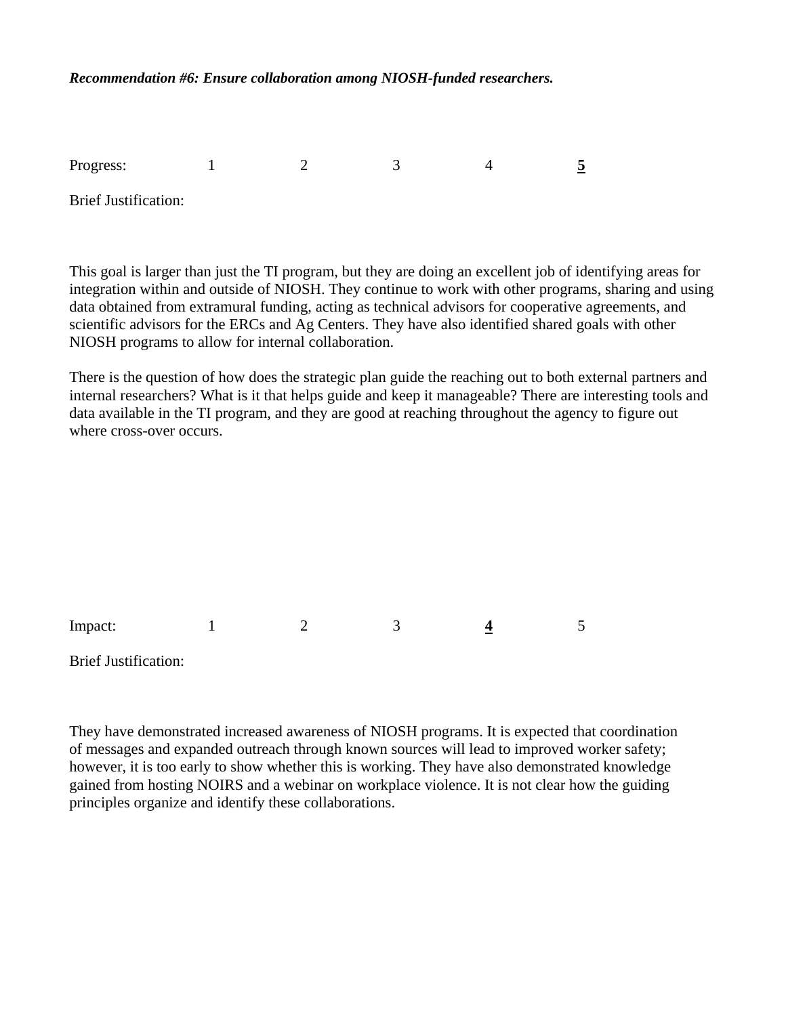### *Recommendation #6: Ensure collaboration among NIOSH-funded researchers.*

**Brief Justification:** Progress: 1 2 3 4 5

This goal is larger than just the TI program, but they are doing an excellent job of identifying areas for integration within and outside of NIOSH. They continue to work with other programs, sharing and using data obtained from extramural funding, acting as technical advisors for cooperative agreements, and scientific advisors for the ERCs and Ag Centers. They have also identified shared goals with other NIOSH programs to allow for internal collaboration.

There is the question of how does the strategic plan guide the reaching out to both external partners and internal researchers? What is it that helps guide and keep it manageable? There are interesting tools and data available in the TI program, and they are good at reaching throughout the agency to figure out where cross-over occurs.

Impact: 1 2 3 4 5

**Brief Justification:** 

They have demonstrated increased awareness of NIOSH programs. It is expected that coordination of messages and expanded outreach through known sources will lead to improved worker safety; however, it is too early to show whether this is working. They have also demonstrated knowledge gained from hosting NOIRS and a webinar on workplace violence. It is not clear how the guiding principles organize and identify these collaborations.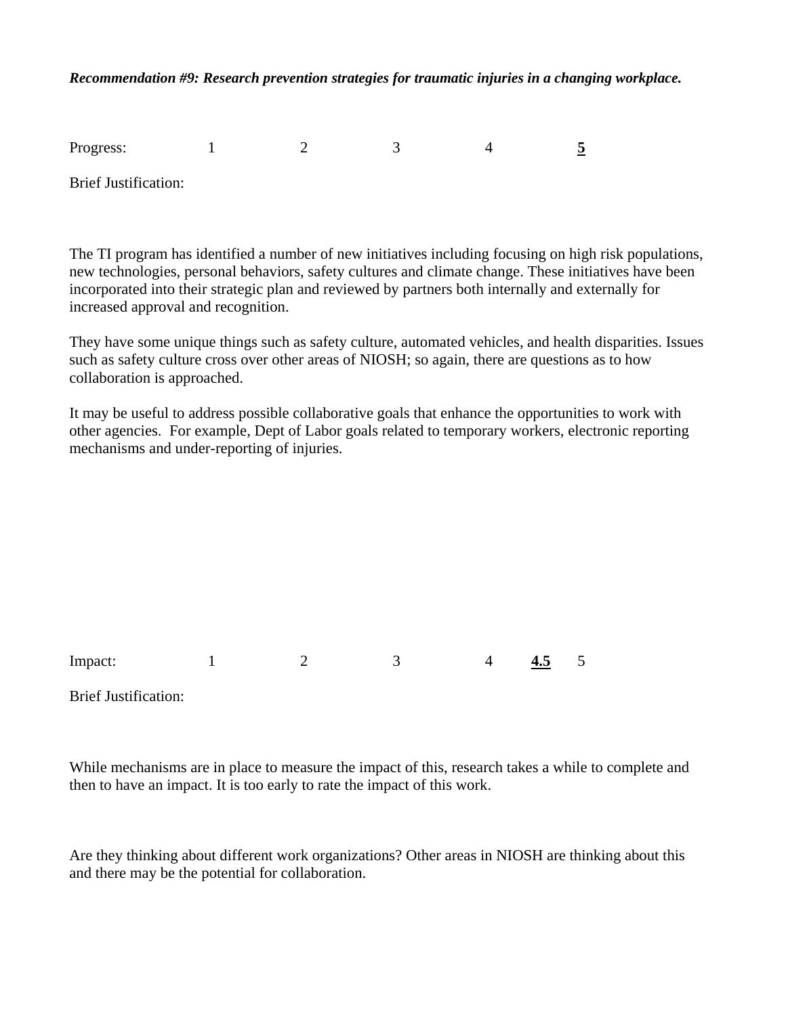*Recommendation #9: Research prevention strategies for traumatic injuries in a changing workplace.* 

| Progress:                   |  |  |  |
|-----------------------------|--|--|--|
| <b>Brief Justification:</b> |  |  |  |

The TI program has identified a number of new initiatives including focusing on high risk populations, new technologies, personal behaviors, safety cultures and climate change. These initiatives have been incorporated into their strategic plan and reviewed by partners both internally and externally for increased approval and recognition.

They have some unique things such as safety culture, automated vehicles, and health disparities. Issues such as safety culture cross over other areas of NIOSH; so again, there are questions as to how collaboration is approached.

It may be useful to address possible collaborative goals that enhance the opportunities to work with other agencies. For example, Dept of Labor goals related to temporary workers, electronic reporting mechanisms and under-reporting of injuries.

Impact: 1 2 3 4 4.5 5

**Brief Justification:** 

While mechanisms are in place to measure the impact of this, research takes a while to complete and then to have an impact. It is too early to rate the impact of this work.

Are they thinking about different work organizations? Other areas in NIOSH are thinking about this and there may be the potential for collaboration.